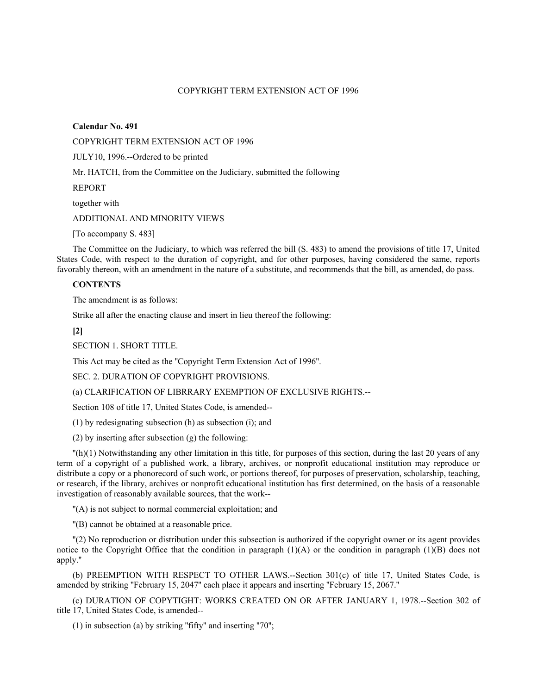# COPYRIGHT TERM EXTENSION ACT OF 1996

**Calendar No. 491** 

COPYRIGHT TERM EXTENSION ACT OF 1996

JULY10, 1996.--Ordered to be printed

Mr. HATCH, from the Committee on the Judiciary, submitted the following

REPORT

together with

ADDITIONAL AND MINORITY VIEWS

[To accompany S. 483]

The Committee on the Judiciary, to which was referred the bill (S. 483) to amend the provisions of title 17, United States Code, with respect to the duration of copyright, and for other purposes, having considered the same, reports favorably thereon, with an amendment in the nature of a substitute, and recommends that the bill, as amended, do pass.

# **CONTENTS**

The amendment is as follows:

Strike all after the enacting clause and insert in lieu thereof the following:

**[2]**

SECTION 1. SHORT TITLE.

This Act may be cited as the ''Copyright Term Extension Act of 1996''.

SEC. 2. DURATION OF COPYRIGHT PROVISIONS.

(a) CLARIFICATION OF LIBRRARY EXEMPTION OF EXCLUSIVE RIGHTS.--

Section 108 of title 17, United States Code, is amended--

(1) by redesignating subsection (h) as subsection (i); and

(2) by inserting after subsection (g) the following:

 $\ln(1)$  Notwithstanding any other limitation in this title, for purposes of this section, during the last 20 years of any term of a copyright of a published work, a library, archives, or nonprofit educational institution may reproduce or distribute a copy or a phonorecord of such work, or portions thereof, for purposes of preservation, scholarship, teaching, or research, if the library, archives or nonprofit educational institution has first determined, on the basis of a reasonable investigation of reasonably available sources, that the work--

''(A) is not subject to normal commercial exploitation; and

''(B) cannot be obtained at a reasonable price.

''(2) No reproduction or distribution under this subsection is authorized if the copyright owner or its agent provides notice to the Copyright Office that the condition in paragraph  $(1)(A)$  or the condition in paragraph  $(1)(B)$  does not apply.''

(b) PREEMPTION WITH RESPECT TO OTHER LAWS.--Section 301(c) of title 17, United States Code, is amended by striking ''February 15, 2047'' each place it appears and inserting ''February 15, 2067.''

(c) DURATION OF COPYTIGHT: WORKS CREATED ON OR AFTER JANUARY 1, 1978.--Section 302 of title 17, United States Code, is amended--

(1) in subsection (a) by striking ''fifty'' and inserting ''70'';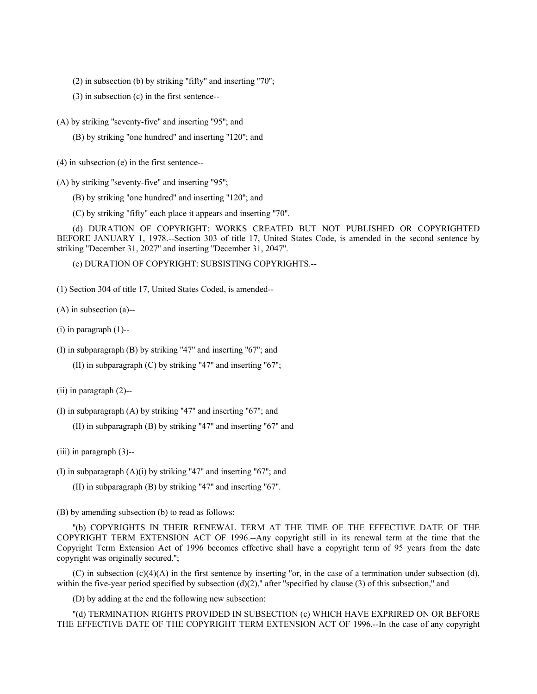(2) in subsection (b) by striking "fifty" and inserting "70";

(3) in subsection (c) in the first sentence--

(A) by striking ''seventy-five'' and inserting ''95''; and

(B) by striking ''one hundred'' and inserting ''120''; and

(4) in subsection (e) in the first sentence--

(A) by striking "seventy-five" and inserting "95";

(B) by striking ''one hundred'' and inserting ''120''; and

(C) by striking ''fifty'' each place it appears and inserting ''70''.

(d) DURATION OF COPYRIGHT: WORKS CREATED BUT NOT PUBLISHED OR COPYRIGHTED BEFORE JANUARY 1, 1978.--Section 303 of title 17, United States Code, is amended in the second sentence by striking ''December 31, 2027'' and inserting ''December 31, 2047''.

(e) DURATION OF COPYRIGHT: SUBSISTING COPYRIGHTS.--

(1) Section 304 of title 17, United States Coded, is amended--

(A) in subsection (a)--

 $(i)$  in paragraph  $(1)$ --

(I) in subparagraph (B) by striking ''47'' and inserting ''67''; and

(II) in subparagraph  $(C)$  by striking "47" and inserting "67";

(ii) in paragraph (2)--

(I) in subparagraph  $(A)$  by striking "47" and inserting "67"; and

(II) in subparagraph (B) by striking ''47'' and inserting ''67'' and

(iii) in paragraph (3)--

(I) in subparagraph  $(A)(i)$  by striking "47" and inserting "67"; and

 $(II)$  in subparagraph  $(B)$  by striking "47" and inserting "67".

(B) by amending subsection (b) to read as follows:

''(b) COPYRIGHTS IN THEIR RENEWAL TERM AT THE TIME OF THE EFFECTIVE DATE OF THE COPYRIGHT TERM EXTENSION ACT OF 1996.--Any copyright still in its renewal term at the time that the Copyright Term Extension Act of 1996 becomes effective shall have a copyright term of 95 years from the date copyright was originally secured.'';

(C) in subsection (c)(4)(A) in the first sentence by inserting "or, in the case of a termination under subsection (d), within the five-year period specified by subsection  $(d)(2)$ ," after "specified by clause  $(3)$  of this subsection," and

(D) by adding at the end the following new subsection:

''(d) TERMINATION RIGHTS PROVIDED IN SUBSECTION (c) WHICH HAVE EXPRIRED ON OR BEFORE THE EFFECTIVE DATE OF THE COPYRIGHT TERM EXTENSION ACT OF 1996.--In the case of any copyright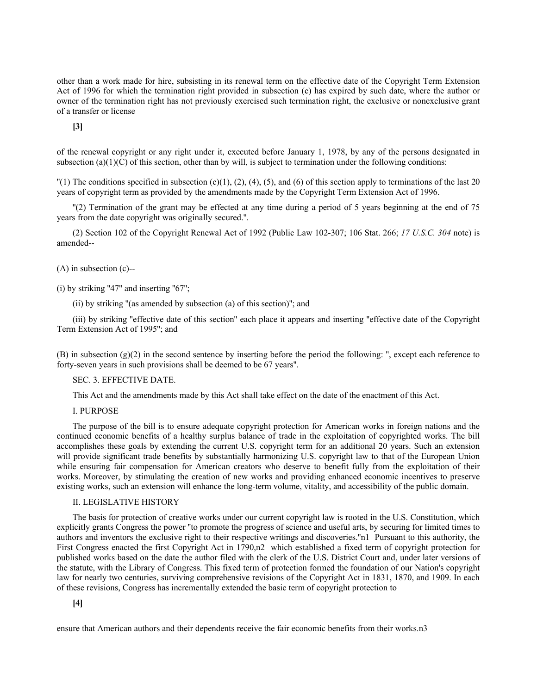other than a work made for hire, subsisting in its renewal term on the effective date of the Copyright Term Extension Act of 1996 for which the termination right provided in subsection (c) has expired by such date, where the author or owner of the termination right has not previously exercised such termination right, the exclusive or nonexclusive grant of a transfer or license

**[3]**

of the renewal copyright or any right under it, executed before January 1, 1978, by any of the persons designated in subsection (a)(1)(C) of this section, other than by will, is subject to termination under the following conditions:

 $\Gamma(1)$  The conditions specified in subsection (c)(1), (2), (4), (5), and (6) of this section apply to terminations of the last 20 years of copyright term as provided by the amendments made by the Copyright Term Extension Act of 1996.

''(2) Termination of the grant may be effected at any time during a period of 5 years beginning at the end of 75 years from the date copyright was originally secured.''.

(2) Section 102 of the Copyright Renewal Act of 1992 (Public Law 102-307; 106 Stat. 266; *17 U.S.C. 304* note) is amended--

(A) in subsection (c)--

 $(i)$  by striking "47" and inserting "67";

(ii) by striking ''(as amended by subsection (a) of this section)''; and

(iii) by striking ''effective date of this section'' each place it appears and inserting ''effective date of the Copyright Term Extension Act of 1995''; and

(B) in subsection (g)(2) in the second sentence by inserting before the period the following: '', except each reference to forty-seven years in such provisions shall be deemed to be 67 years''.

SEC. 3. EFFECTIVE DATE.

This Act and the amendments made by this Act shall take effect on the date of the enactment of this Act.

I. PURPOSE

The purpose of the bill is to ensure adequate copyright protection for American works in foreign nations and the continued economic benefits of a healthy surplus balance of trade in the exploitation of copyrighted works. The bill accomplishes these goals by extending the current U.S. copyright term for an additional 20 years. Such an extension will provide significant trade benefits by substantially harmonizing U.S. copyright law to that of the European Union while ensuring fair compensation for American creators who deserve to benefit fully from the exploitation of their works. Moreover, by stimulating the creation of new works and providing enhanced economic incentives to preserve existing works, such an extension will enhance the long-term volume, vitality, and accessibility of the public domain.

# II. LEGISLATIVE HISTORY

The basis for protection of creative works under our current copyright law is rooted in the U.S. Constitution, which explicitly grants Congress the power ''to promote the progress of science and useful arts, by securing for limited times to authors and inventors the exclusive right to their respective writings and discoveries.''n1 Pursuant to this authority, the First Congress enacted the first Copyright Act in 1790,n2 which established a fixed term of copyright protection for published works based on the date the author filed with the clerk of the U.S. District Court and, under later versions of the statute, with the Library of Congress. This fixed term of protection formed the foundation of our Nation's copyright law for nearly two centuries, surviving comprehensive revisions of the Copyright Act in 1831, 1870, and 1909. In each of these revisions, Congress has incrementally extended the basic term of copyright protection to

**[4]**

ensure that American authors and their dependents receive the fair economic benefits from their works.n3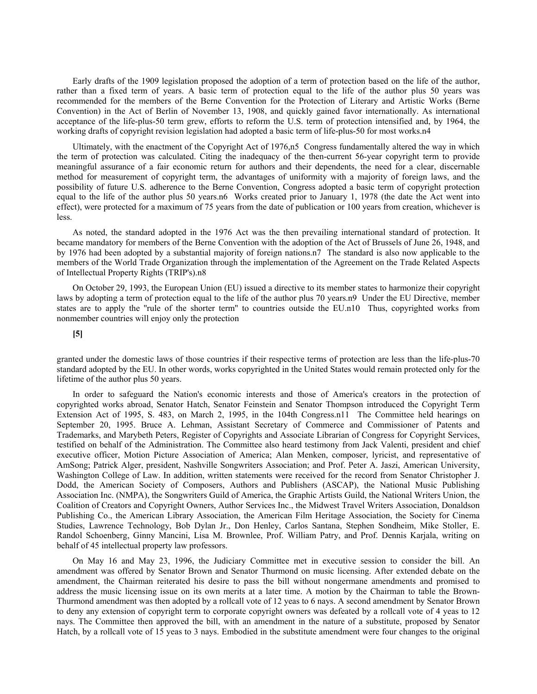Early drafts of the 1909 legislation proposed the adoption of a term of protection based on the life of the author, rather than a fixed term of years. A basic term of protection equal to the life of the author plus 50 years was recommended for the members of the Berne Convention for the Protection of Literary and Artistic Works (Berne Convention) in the Act of Berlin of November 13, 1908, and quickly gained favor internationally. As international acceptance of the life-plus-50 term grew, efforts to reform the U.S. term of protection intensified and, by 1964, the working drafts of copyright revision legislation had adopted a basic term of life-plus-50 for most works.n4

Ultimately, with the enactment of the Copyright Act of 1976,n5 Congress fundamentally altered the way in which the term of protection was calculated. Citing the inadequacy of the then-current 56-year copyright term to provide meaningful assurance of a fair economic return for authors and their dependents, the need for a clear, discernable method for measurement of copyright term, the advantages of uniformity with a majority of foreign laws, and the possibility of future U.S. adherence to the Berne Convention, Congress adopted a basic term of copyright protection equal to the life of the author plus 50 years.n6 Works created prior to January 1, 1978 (the date the Act went into effect), were protected for a maximum of 75 years from the date of publication or 100 years from creation, whichever is less.

As noted, the standard adopted in the 1976 Act was the then prevailing international standard of protection. It became mandatory for members of the Berne Convention with the adoption of the Act of Brussels of June 26, 1948, and by 1976 had been adopted by a substantial majority of foreign nations.n7 The standard is also now applicable to the members of the World Trade Organization through the implementation of the Agreement on the Trade Related Aspects of Intellectual Property Rights (TRIP's).n8

On October 29, 1993, the European Union (EU) issued a directive to its member states to harmonize their copyright laws by adopting a term of protection equal to the life of the author plus 70 years.n9 Under the EU Directive, member states are to apply the "rule of the shorter term" to countries outside the EU.n10 Thus, copyrighted works from nonmember countries will enjoy only the protection

### **[5]**

granted under the domestic laws of those countries if their respective terms of protection are less than the life-plus-70 standard adopted by the EU. In other words, works copyrighted in the United States would remain protected only for the lifetime of the author plus 50 years.

In order to safeguard the Nation's economic interests and those of America's creators in the protection of copyrighted works abroad, Senator Hatch, Senator Feinstein and Senator Thompson introduced the Copyright Term Extension Act of 1995, S. 483, on March 2, 1995, in the 104th Congress.n11 The Committee held hearings on September 20, 1995. Bruce A. Lehman, Assistant Secretary of Commerce and Commissioner of Patents and Trademarks, and Marybeth Peters, Register of Copyrights and Associate Librarian of Congress for Copyright Services, testified on behalf of the Administration. The Committee also heard testimony from Jack Valenti, president and chief executive officer, Motion Picture Association of America; Alan Menken, composer, lyricist, and representative of AmSong; Patrick Alger, president, Nashville Songwriters Association; and Prof. Peter A. Jaszi, American University, Washington College of Law. In addition, written statements were received for the record from Senator Christopher J. Dodd, the American Society of Composers, Authors and Publishers (ASCAP), the National Music Publishing Association Inc. (NMPA), the Songwriters Guild of America, the Graphic Artists Guild, the National Writers Union, the Coalition of Creators and Copyright Owners, Author Services Inc., the Midwest Travel Writers Association, Donaldson Publishing Co., the American Library Association, the American Film Heritage Association, the Society for Cinema Studies, Lawrence Technology, Bob Dylan Jr., Don Henley, Carlos Santana, Stephen Sondheim, Mike Stoller, E. Randol Schoenberg, Ginny Mancini, Lisa M. Brownlee, Prof. William Patry, and Prof. Dennis Karjala, writing on behalf of 45 intellectual property law professors.

On May 16 and May 23, 1996, the Judiciary Committee met in executive session to consider the bill. An amendment was offered by Senator Brown and Senator Thurmond on music licensing. After extended debate on the amendment, the Chairman reiterated his desire to pass the bill without nongermane amendments and promised to address the music licensing issue on its own merits at a later time. A motion by the Chairman to table the Brown-Thurmond amendment was then adopted by a rollcall vote of 12 yeas to 6 nays. A second amendment by Senator Brown to deny any extension of copyright term to corporate copyright owners was defeated by a rollcall vote of 4 yeas to 12 nays. The Committee then approved the bill, with an amendment in the nature of a substitute, proposed by Senator Hatch, by a rollcall vote of 15 yeas to 3 nays. Embodied in the substitute amendment were four changes to the original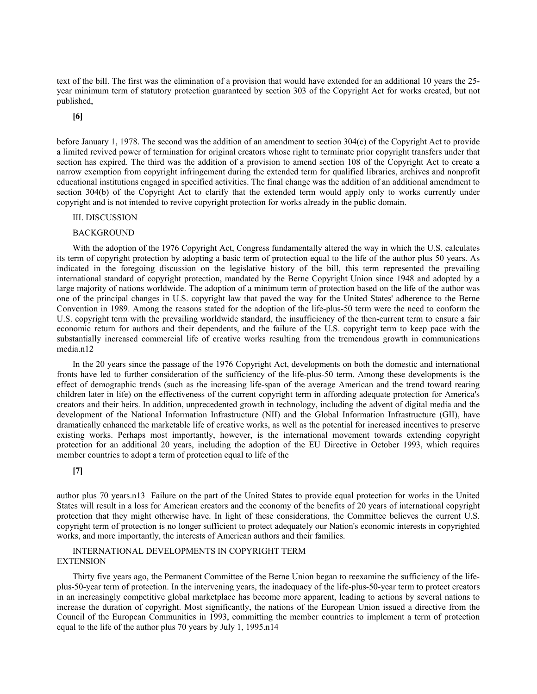text of the bill. The first was the elimination of a provision that would have extended for an additional 10 years the 25 year minimum term of statutory protection guaranteed by section 303 of the Copyright Act for works created, but not published,

**[6]**

before January 1, 1978. The second was the addition of an amendment to section 304(c) of the Copyright Act to provide a limited revived power of termination for original creators whose right to terminate prior copyright transfers under that section has expired. The third was the addition of a provision to amend section 108 of the Copyright Act to create a narrow exemption from copyright infringement during the extended term for qualified libraries, archives and nonprofit educational institutions engaged in specified activities. The final change was the addition of an additional amendment to section 304(b) of the Copyright Act to clarify that the extended term would apply only to works currently under copyright and is not intended to revive copyright protection for works already in the public domain.

### III. DISCUSSION

#### BACKGROUND

With the adoption of the 1976 Copyright Act, Congress fundamentally altered the way in which the U.S. calculates its term of copyright protection by adopting a basic term of protection equal to the life of the author plus 50 years. As indicated in the foregoing discussion on the legislative history of the bill, this term represented the prevailing international standard of copyright protection, mandated by the Berne Copyright Union since 1948 and adopted by a large majority of nations worldwide. The adoption of a minimum term of protection based on the life of the author was one of the principal changes in U.S. copyright law that paved the way for the United States' adherence to the Berne Convention in 1989. Among the reasons stated for the adoption of the life-plus-50 term were the need to conform the U.S. copyright term with the prevailing worldwide standard, the insufficiency of the then-current term to ensure a fair economic return for authors and their dependents, and the failure of the U.S. copyright term to keep pace with the substantially increased commercial life of creative works resulting from the tremendous growth in communications media.n12

In the 20 years since the passage of the 1976 Copyright Act, developments on both the domestic and international fronts have led to further consideration of the sufficiency of the life-plus-50 term. Among these developments is the effect of demographic trends (such as the increasing life-span of the average American and the trend toward rearing children later in life) on the effectiveness of the current copyright term in affording adequate protection for America's creators and their heirs. In addition, unprecedented growth in technology, including the advent of digital media and the development of the National Information Infrastructure (NII) and the Global Information Infrastructure (GII), have dramatically enhanced the marketable life of creative works, as well as the potential for increased incentives to preserve existing works. Perhaps most importantly, however, is the international movement towards extending copyright protection for an additional 20 years, including the adoption of the EU Directive in October 1993, which requires member countries to adopt a term of protection equal to life of the

# **[7]**

author plus 70 years.n13 Failure on the part of the United States to provide equal protection for works in the United States will result in a loss for American creators and the economy of the benefits of 20 years of international copyright protection that they might otherwise have. In light of these considerations, the Committee believes the current U.S. copyright term of protection is no longer sufficient to protect adequately our Nation's economic interests in copyrighted works, and more importantly, the interests of American authors and their families.

# INTERNATIONAL DEVELOPMENTS IN COPYRIGHT TERM EXTENSION

Thirty five years ago, the Permanent Committee of the Berne Union began to reexamine the sufficiency of the lifeplus-50-year term of protection. In the intervening years, the inadequacy of the life-plus-50-year term to protect creators in an increasingly competitive global marketplace has become more apparent, leading to actions by several nations to increase the duration of copyright. Most significantly, the nations of the European Union issued a directive from the Council of the European Communities in 1993, committing the member countries to implement a term of protection equal to the life of the author plus 70 years by July 1, 1995.n14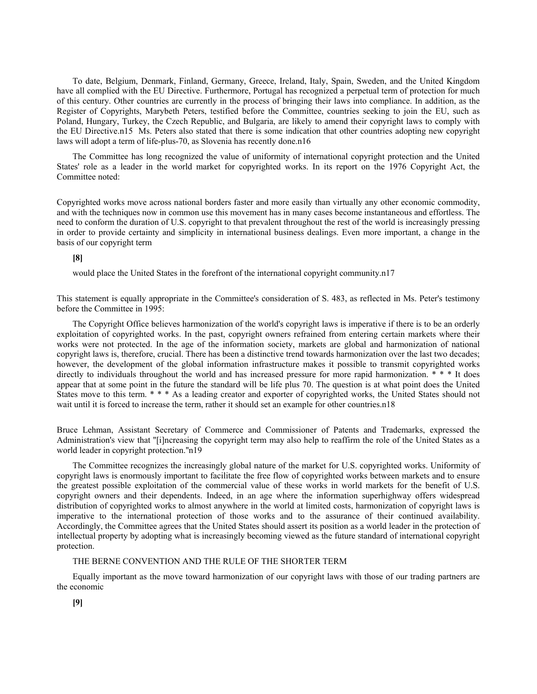To date, Belgium, Denmark, Finland, Germany, Greece, Ireland, Italy, Spain, Sweden, and the United Kingdom have all complied with the EU Directive. Furthermore, Portugal has recognized a perpetual term of protection for much of this century. Other countries are currently in the process of bringing their laws into compliance. In addition, as the Register of Copyrights, Marybeth Peters, testified before the Committee, countries seeking to join the EU, such as Poland, Hungary, Turkey, the Czech Republic, and Bulgaria, are likely to amend their copyright laws to comply with the EU Directive.n15 Ms. Peters also stated that there is some indication that other countries adopting new copyright laws will adopt a term of life-plus-70, as Slovenia has recently done.n16

The Committee has long recognized the value of uniformity of international copyright protection and the United States' role as a leader in the world market for copyrighted works. In its report on the 1976 Copyright Act, the Committee noted:

Copyrighted works move across national borders faster and more easily than virtually any other economic commodity, and with the techniques now in common use this movement has in many cases become instantaneous and effortless. The need to conform the duration of U.S. copyright to that prevalent throughout the rest of the world is increasingly pressing in order to provide certainty and simplicity in international business dealings. Even more important, a change in the basis of our copyright term

### **[8]**

would place the United States in the forefront of the international copyright community.n17

This statement is equally appropriate in the Committee's consideration of S. 483, as reflected in Ms. Peter's testimony before the Committee in 1995:

The Copyright Office believes harmonization of the world's copyright laws is imperative if there is to be an orderly exploitation of copyrighted works. In the past, copyright owners refrained from entering certain markets where their works were not protected. In the age of the information society, markets are global and harmonization of national copyright laws is, therefore, crucial. There has been a distinctive trend towards harmonization over the last two decades; however, the development of the global information infrastructure makes it possible to transmit copyrighted works directly to individuals throughout the world and has increased pressure for more rapid harmonization. \*\*\* It does appear that at some point in the future the standard will be life plus 70. The question is at what point does the United States move to this term. \* \* \* As a leading creator and exporter of copyrighted works, the United States should not wait until it is forced to increase the term, rather it should set an example for other countries.n18

Bruce Lehman, Assistant Secretary of Commerce and Commissioner of Patents and Trademarks, expressed the Administration's view that ''[i]ncreasing the copyright term may also help to reaffirm the role of the United States as a world leader in copyright protection.''n19

The Committee recognizes the increasingly global nature of the market for U.S. copyrighted works. Uniformity of copyright laws is enormously important to facilitate the free flow of copyrighted works between markets and to ensure the greatest possible exploitation of the commercial value of these works in world markets for the benefit of U.S. copyright owners and their dependents. Indeed, in an age where the information superhighway offers widespread distribution of copyrighted works to almost anywhere in the world at limited costs, harmonization of copyright laws is imperative to the international protection of those works and to the assurance of their continued availability. Accordingly, the Committee agrees that the United States should assert its position as a world leader in the protection of intellectual property by adopting what is increasingly becoming viewed as the future standard of international copyright protection.

### THE BERNE CONVENTION AND THE RULE OF THE SHORTER TERM

Equally important as the move toward harmonization of our copyright laws with those of our trading partners are the economic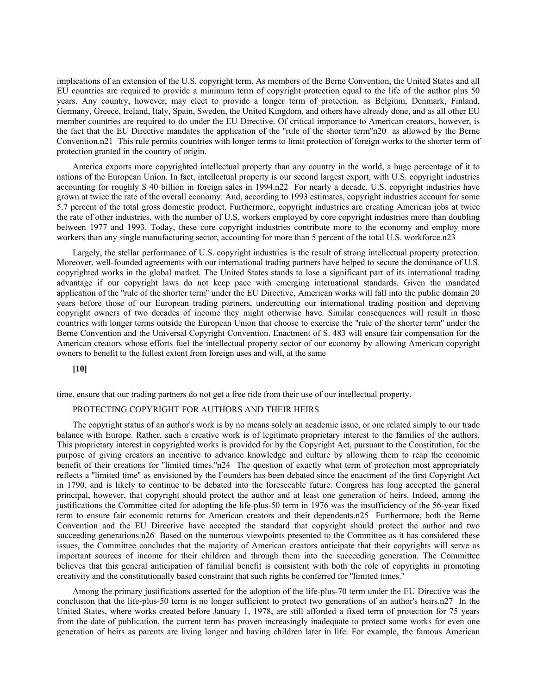implications of an extension of the U.S. copyright term. As members of the Berne Convention, the United States and all EU countries are required to provide a minimum term of copyright protection equal to the life of the author plus 50 years. Any country, however, may elect to provide a longer term of protection, as Belgium, Denmark, Finland, Germany, Greece, Ireland, Italy, Spain, Sweden, the United Kingdom, and others have already done, and as all other EU member countries are required to do under the EU Directive. Of critical importance to American creators, however, is the fact that the EU Directive mandates the application of the ''rule of the shorter term''n20 as allowed by the Berne Convention.n21 This rule permits countries with longer terms to limit protection of foreign works to the shorter term of protection granted in the country of origin.

America exports more copyrighted intellectual property than any country in the world, a huge percentage of it to nations of the European Union. In fact, intellectual property is our second largest export, with U.S. copyright industries accounting for roughly \$ 40 billion in foreign sales in 1994.n22 For nearly a decade, U.S. copyright industries have grown at twice the rate of the overall economy. And, according to 1993 estimates, copyright industries account for some 5.7 percent of the total gross domestic product. Furthermore, copyright industries are creating American jobs at twice the rate of other industries, with the number of U.S. workers employed by core copyright industries more than doubling between 1977 and 1993. Today, these core copyright industries contribute more to the economy and employ more workers than any single manufacturing sector, accounting for more than 5 percent of the total U.S. workforce.n23

Largely, the stellar performance of U.S. copyright industries is the result of strong intellectual property protection. Moreover, well-founded agreements with our international trading partners have helped to secure the dominance of U.S. copyrighted works in the global market. The United States stands to lose a significant part of its international trading advantage if our copyright laws do not keep pace with emerging international standards. Given the mandated application of the "rule of the shorter term" under the EU Directive, American works will fall into the public domain 20 years before those of our European trading partners, undercutting our international trading position and depriving copyright owners of two decades of income they might otherwise have. Similar consequences will result in those countries with longer terms outside the European Union that choose to exercise the ''rule of the shorter term'' under the Berne Convention and the Universal Copyright Convention. Enactment of S. 483 will ensure fair compensation for the American creators whose efforts fuel the intellectual property sector of our economy by allowing American copyright owners to benefit to the fullest extent from foreign uses and will, at the same

**[10]**

time, ensure that our trading partners do not get a free ride from their use of our intellectual property.

# PROTECTING COPYRIGHT FOR AUTHORS AND THEIR HEIRS

The copyright status of an author's work is by no means solely an academic issue, or one related simply to our trade balance with Europe. Rather, such a creative work is of legitimate proprietary interest to the families of the authors. This proprietary interest in copyrighted works is provided for by the Copyright Act, pursuant to the Constitution, for the purpose of giving creators an incentive to advance knowledge and culture by allowing them to reap the economic benefit of their creations for ''limited times.''n24 The question of exactly what term of protection most appropriately reflects a ''limited time'' as envisioned by the Founders has been debated since the enactment of the first Copyright Act in 1790, and is likely to continue to be debated into the foreseeable future. Congress has long accepted the general principal, however, that copyright should protect the author and at least one generation of heirs. Indeed, among the justifications the Committee cited for adopting the life-plus-50 term in 1976 was the insufficiency of the 56-year fixed term to ensure fair economic returns for American creators and their dependents.n25 Furthermore, both the Berne Convention and the EU Directive have accepted the standard that copyright should protect the author and two succeeding generations.n26 Based on the numerous viewpoints presented to the Committee as it has considered these issues, the Committee concludes that the majority of American creators anticipate that their copyrights will serve as important sources of income for their children and through them into the succeeding generation. The Committee believes that this general anticipation of familial benefit is consistent with both the role of copyrights in promoting creativity and the constitutionally based constraint that such rights be conferred for ''limited times.''

Among the primary justifications asserted for the adoption of the life-plus-70 term under the EU Directive was the conclusion that the life-plus-50 term is no longer sufficient to protect two generations of an author's heirs.n27 In the United States, where works created before January 1, 1978, are still afforded a fixed term of protection for 75 years from the date of publication, the current term has proven increasingly inadequate to protect some works for even one generation of heirs as parents are living longer and having children later in life. For example, the famous American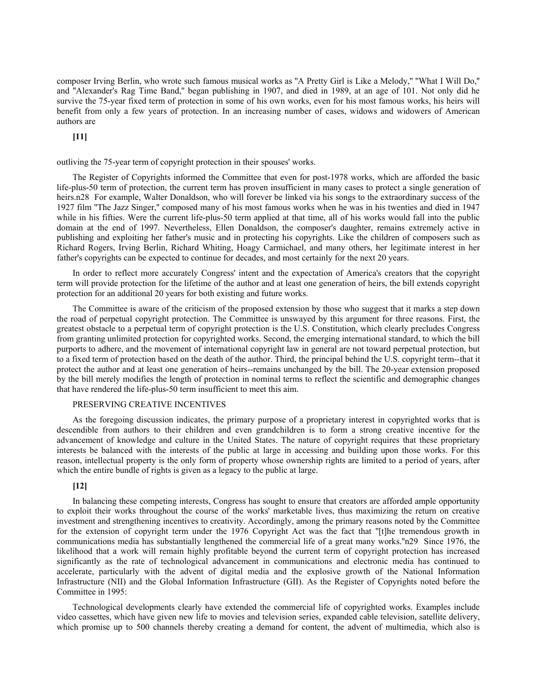composer Irving Berlin, who wrote such famous musical works as ''A Pretty Girl is Like a Melody,'' ''What I Will Do,'' and ''Alexander's Rag Time Band,'' began publishing in 1907, and died in 1989, at an age of 101. Not only did he survive the 75-year fixed term of protection in some of his own works, even for his most famous works, his heirs will benefit from only a few years of protection. In an increasing number of cases, widows and widowers of American authors are

**[11]**

outliving the 75-year term of copyright protection in their spouses' works.

The Register of Copyrights informed the Committee that even for post-1978 works, which are afforded the basic life-plus-50 term of protection, the current term has proven insufficient in many cases to protect a single generation of heirs.n28 For example, Walter Donaldson, who will forever be linked via his songs to the extraordinary success of the 1927 film ''The Jazz Singer,'' composed many of his most famous works when he was in his twenties and died in 1947 while in his fifties. Were the current life-plus-50 term applied at that time, all of his works would fall into the public domain at the end of 1997. Nevertheless, Ellen Donaldson, the composer's daughter, remains extremely active in publishing and exploiting her father's music and in protecting his copyrights. Like the children of composers such as Richard Rogers, Irving Berlin, Richard Whiting, Hoagy Carmichael, and many others, her legitimate interest in her father's copyrights can be expected to continue for decades, and most certainly for the next 20 years.

In order to reflect more accurately Congress' intent and the expectation of America's creators that the copyright term will provide protection for the lifetime of the author and at least one generation of heirs, the bill extends copyright protection for an additional 20 years for both existing and future works.

The Committee is aware of the criticism of the proposed extension by those who suggest that it marks a step down the road of perpetual copyright protection. The Committee is unswayed by this argument for three reasons. First, the greatest obstacle to a perpetual term of copyright protection is the U.S. Constitution, which clearly precludes Congress from granting unlimited protection for copyrighted works. Second, the emerging international standard, to which the bill purports to adhere, and the movement of international copyright law in general are not toward perpetual protection, but to a fixed term of protection based on the death of the author. Third, the principal behind the U.S. copyright term--that it protect the author and at least one generation of heirs--remains unchanged by the bill. The 20-year extension proposed by the bill merely modifies the length of protection in nominal terms to reflect the scientific and demographic changes that have rendered the life-plus-50 term insufficient to meet this aim.

## PRESERVING CREATIVE INCENTIVES

As the foregoing discussion indicates, the primary purpose of a proprietary interest in copyrighted works that is descendible from authors to their children and even grandchildren is to form a strong creative incentive for the advancement of knowledge and culture in the United States. The nature of copyright requires that these proprietary interests be balanced with the interests of the public at large in accessing and building upon those works. For this reason, intellectual property is the only form of property whose ownership rights are limited to a period of years, after which the entire bundle of rights is given as a legacy to the public at large.

# **[12]**

In balancing these competing interests, Congress has sought to ensure that creators are afforded ample opportunity to exploit their works throughout the course of the works' marketable lives, thus maximizing the return on creative investment and strengthening incentives to creativity. Accordingly, among the primary reasons noted by the Committee for the extension of copyright term under the 1976 Copyright Act was the fact that ''[t]he tremendous growth in communications media has substantially lengthened the commercial life of a great many works.''n29 Since 1976, the likelihood that a work will remain highly profitable beyond the current term of copyright protection has increased significantly as the rate of technological advancement in communications and electronic media has continued to accelerate, particularly with the advent of digital media and the explosive growth of the National Information Infrastructure (NII) and the Global Information Infrastructure (GII). As the Register of Copyrights noted before the Committee in 1995:

Technological developments clearly have extended the commercial life of copyrighted works. Examples include video cassettes, which have given new life to movies and television series, expanded cable television, satellite delivery, which promise up to 500 channels thereby creating a demand for content, the advent of multimedia, which also is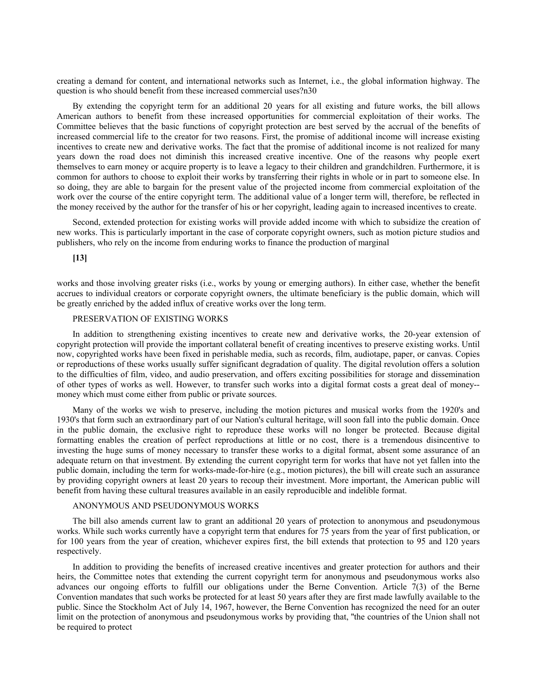creating a demand for content, and international networks such as Internet, i.e., the global information highway. The question is who should benefit from these increased commercial uses?n30

By extending the copyright term for an additional 20 years for all existing and future works, the bill allows American authors to benefit from these increased opportunities for commercial exploitation of their works. The Committee believes that the basic functions of copyright protection are best served by the accrual of the benefits of increased commercial life to the creator for two reasons. First, the promise of additional income will increase existing incentives to create new and derivative works. The fact that the promise of additional income is not realized for many years down the road does not diminish this increased creative incentive. One of the reasons why people exert themselves to earn money or acquire property is to leave a legacy to their children and grandchildren. Furthermore, it is common for authors to choose to exploit their works by transferring their rights in whole or in part to someone else. In so doing, they are able to bargain for the present value of the projected income from commercial exploitation of the work over the course of the entire copyright term. The additional value of a longer term will, therefore, be reflected in the money received by the author for the transfer of his or her copyright, leading again to increased incentives to create.

Second, extended protection for existing works will provide added income with which to subsidize the creation of new works. This is particularly important in the case of corporate copyright owners, such as motion picture studios and publishers, who rely on the income from enduring works to finance the production of marginal

**[13]**

works and those involving greater risks (i.e., works by young or emerging authors). In either case, whether the benefit accrues to individual creators or corporate copyright owners, the ultimate beneficiary is the public domain, which will be greatly enriched by the added influx of creative works over the long term.

# PRESERVATION OF EXISTING WORKS

In addition to strengthening existing incentives to create new and derivative works, the 20-year extension of copyright protection will provide the important collateral benefit of creating incentives to preserve existing works. Until now, copyrighted works have been fixed in perishable media, such as records, film, audiotape, paper, or canvas. Copies or reproductions of these works usually suffer significant degradation of quality. The digital revolution offers a solution to the difficulties of film, video, and audio preservation, and offers exciting possibilities for storage and dissemination of other types of works as well. However, to transfer such works into a digital format costs a great deal of money- money which must come either from public or private sources.

Many of the works we wish to preserve, including the motion pictures and musical works from the 1920's and 1930's that form such an extraordinary part of our Nation's cultural heritage, will soon fall into the public domain. Once in the public domain, the exclusive right to reproduce these works will no longer be protected. Because digital formatting enables the creation of perfect reproductions at little or no cost, there is a tremendous disincentive to investing the huge sums of money necessary to transfer these works to a digital format, absent some assurance of an adequate return on that investment. By extending the current copyright term for works that have not yet fallen into the public domain, including the term for works-made-for-hire (e.g., motion pictures), the bill will create such an assurance by providing copyright owners at least 20 years to recoup their investment. More important, the American public will benefit from having these cultural treasures available in an easily reproducible and indelible format.

# ANONYMOUS AND PSEUDONYMOUS WORKS

The bill also amends current law to grant an additional 20 years of protection to anonymous and pseudonymous works. While such works currently have a copyright term that endures for 75 years from the year of first publication, or for 100 years from the year of creation, whichever expires first, the bill extends that protection to 95 and 120 years respectively.

In addition to providing the benefits of increased creative incentives and greater protection for authors and their heirs, the Committee notes that extending the current copyright term for anonymous and pseudonymous works also advances our ongoing efforts to fulfill our obligations under the Berne Convention. Article 7(3) of the Berne Convention mandates that such works be protected for at least 50 years after they are first made lawfully available to the public. Since the Stockholm Act of July 14, 1967, however, the Berne Convention has recognized the need for an outer limit on the protection of anonymous and pseudonymous works by providing that, ''the countries of the Union shall not be required to protect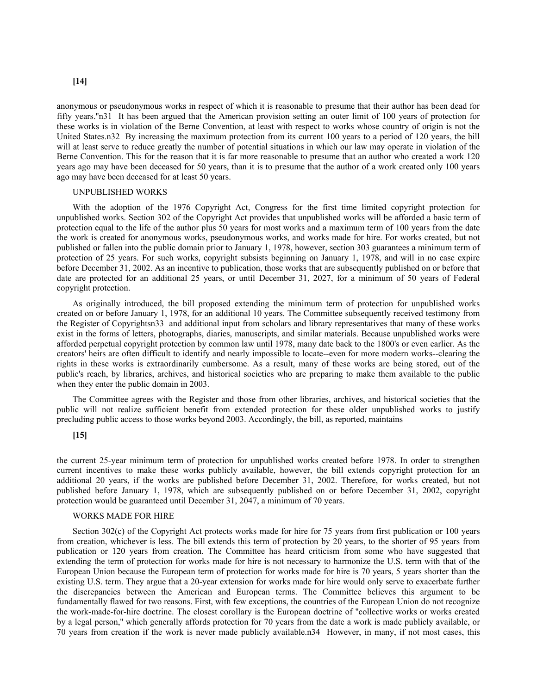### **[14]**

anonymous or pseudonymous works in respect of which it is reasonable to presume that their author has been dead for fifty years.''n31 It has been argued that the American provision setting an outer limit of 100 years of protection for these works is in violation of the Berne Convention, at least with respect to works whose country of origin is not the United States.n32 By increasing the maximum protection from its current 100 years to a period of 120 years, the bill will at least serve to reduce greatly the number of potential situations in which our law may operate in violation of the Berne Convention. This for the reason that it is far more reasonable to presume that an author who created a work 120 years ago may have been deceased for 50 years, than it is to presume that the author of a work created only 100 years ago may have been deceased for at least 50 years.

### UNPUBLISHED WORKS

With the adoption of the 1976 Copyright Act, Congress for the first time limited copyright protection for unpublished works. Section 302 of the Copyright Act provides that unpublished works will be afforded a basic term of protection equal to the life of the author plus 50 years for most works and a maximum term of 100 years from the date the work is created for anonymous works, pseudonymous works, and works made for hire. For works created, but not published or fallen into the public domain prior to January 1, 1978, however, section 303 guarantees a minimum term of protection of 25 years. For such works, copyright subsists beginning on January 1, 1978, and will in no case expire before December 31, 2002. As an incentive to publication, those works that are subsequently published on or before that date are protected for an additional 25 years, or until December 31, 2027, for a minimum of 50 years of Federal copyright protection.

As originally introduced, the bill proposed extending the minimum term of protection for unpublished works created on or before January 1, 1978, for an additional 10 years. The Committee subsequently received testimony from the Register of Copyrightsn33 and additional input from scholars and library representatives that many of these works exist in the forms of letters, photographs, diaries, manuscripts, and similar materials. Because unpublished works were afforded perpetual copyright protection by common law until 1978, many date back to the 1800's or even earlier. As the creators' heirs are often difficult to identify and nearly impossible to locate--even for more modern works--clearing the rights in these works is extraordinarily cumbersome. As a result, many of these works are being stored, out of the public's reach, by libraries, archives, and historical societies who are preparing to make them available to the public when they enter the public domain in 2003.

The Committee agrees with the Register and those from other libraries, archives, and historical societies that the public will not realize sufficient benefit from extended protection for these older unpublished works to justify precluding public access to those works beyond 2003. Accordingly, the bill, as reported, maintains

# **[15]**

the current 25-year minimum term of protection for unpublished works created before 1978. In order to strengthen current incentives to make these works publicly available, however, the bill extends copyright protection for an additional 20 years, if the works are published before December 31, 2002. Therefore, for works created, but not published before January 1, 1978, which are subsequently published on or before December 31, 2002, copyright protection would be guaranteed until December 31, 2047, a minimum of 70 years.

### WORKS MADE FOR HIRE

Section 302(c) of the Copyright Act protects works made for hire for 75 years from first publication or 100 years from creation, whichever is less. The bill extends this term of protection by 20 years, to the shorter of 95 years from publication or 120 years from creation. The Committee has heard criticism from some who have suggested that extending the term of protection for works made for hire is not necessary to harmonize the U.S. term with that of the European Union because the European term of protection for works made for hire is 70 years, 5 years shorter than the existing U.S. term. They argue that a 20-year extension for works made for hire would only serve to exacerbate further the discrepancies between the American and European terms. The Committee believes this argument to be fundamentally flawed for two reasons. First, with few exceptions, the countries of the European Union do not recognize the work-made-for-hire doctrine. The closest corollary is the European doctrine of ''collective works or works created by a legal person,'' which generally affords protection for 70 years from the date a work is made publicly available, or 70 years from creation if the work is never made publicly available.n34 However, in many, if not most cases, this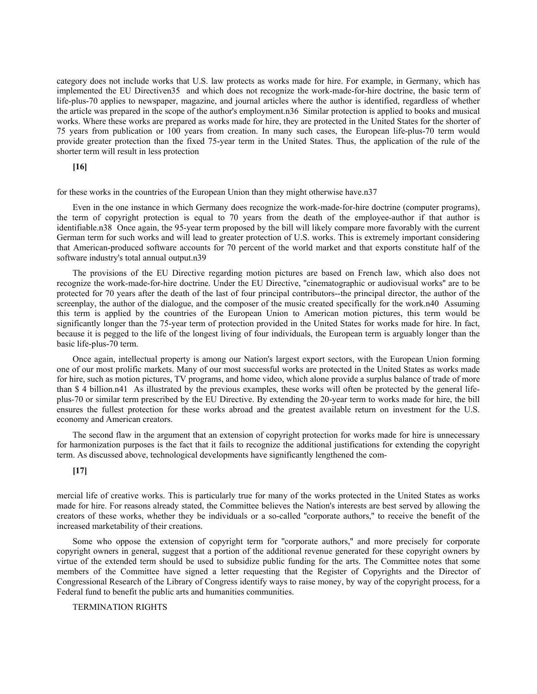category does not include works that U.S. law protects as works made for hire. For example, in Germany, which has implemented the EU Directiven35 and which does not recognize the work-made-for-hire doctrine, the basic term of life-plus-70 applies to newspaper, magazine, and journal articles where the author is identified, regardless of whether the article was prepared in the scope of the author's employment.n36 Similar protection is applied to books and musical works. Where these works are prepared as works made for hire, they are protected in the United States for the shorter of 75 years from publication or 100 years from creation. In many such cases, the European life-plus-70 term would provide greater protection than the fixed 75-year term in the United States. Thus, the application of the rule of the shorter term will result in less protection

### **[16]**

for these works in the countries of the European Union than they might otherwise have.n37

Even in the one instance in which Germany does recognize the work-made-for-hire doctrine (computer programs), the term of copyright protection is equal to 70 years from the death of the employee-author if that author is identifiable.n38 Once again, the 95-year term proposed by the bill will likely compare more favorably with the current German term for such works and will lead to greater protection of U.S. works. This is extremely important considering that American-produced software accounts for 70 percent of the world market and that exports constitute half of the software industry's total annual output.n39

The provisions of the EU Directive regarding motion pictures are based on French law, which also does not recognize the work-made-for-hire doctrine. Under the EU Directive, ''cinematographic or audiovisual works'' are to be protected for 70 years after the death of the last of four principal contributors--the principal director, the author of the screenplay, the author of the dialogue, and the composer of the music created specifically for the work.n40 Assuming this term is applied by the countries of the European Union to American motion pictures, this term would be significantly longer than the 75-year term of protection provided in the United States for works made for hire. In fact, because it is pegged to the life of the longest living of four individuals, the European term is arguably longer than the basic life-plus-70 term.

Once again, intellectual property is among our Nation's largest export sectors, with the European Union forming one of our most prolific markets. Many of our most successful works are protected in the United States as works made for hire, such as motion pictures, TV programs, and home video, which alone provide a surplus balance of trade of more than \$ 4 billion.n41 As illustrated by the previous examples, these works will often be protected by the general lifeplus-70 or similar term prescribed by the EU Directive. By extending the 20-year term to works made for hire, the bill ensures the fullest protection for these works abroad and the greatest available return on investment for the U.S. economy and American creators.

The second flaw in the argument that an extension of copyright protection for works made for hire is unnecessary for harmonization purposes is the fact that it fails to recognize the additional justifications for extending the copyright term. As discussed above, technological developments have significantly lengthened the com-

### **[17]**

mercial life of creative works. This is particularly true for many of the works protected in the United States as works made for hire. For reasons already stated, the Committee believes the Nation's interests are best served by allowing the creators of these works, whether they be individuals or a so-called ''corporate authors,'' to receive the benefit of the increased marketability of their creations.

Some who oppose the extension of copyright term for ''corporate authors,'' and more precisely for corporate copyright owners in general, suggest that a portion of the additional revenue generated for these copyright owners by virtue of the extended term should be used to subsidize public funding for the arts. The Committee notes that some members of the Committee have signed a letter requesting that the Register of Copyrights and the Director of Congressional Research of the Library of Congress identify ways to raise money, by way of the copyright process, for a Federal fund to benefit the public arts and humanities communities.

### TERMINATION RIGHTS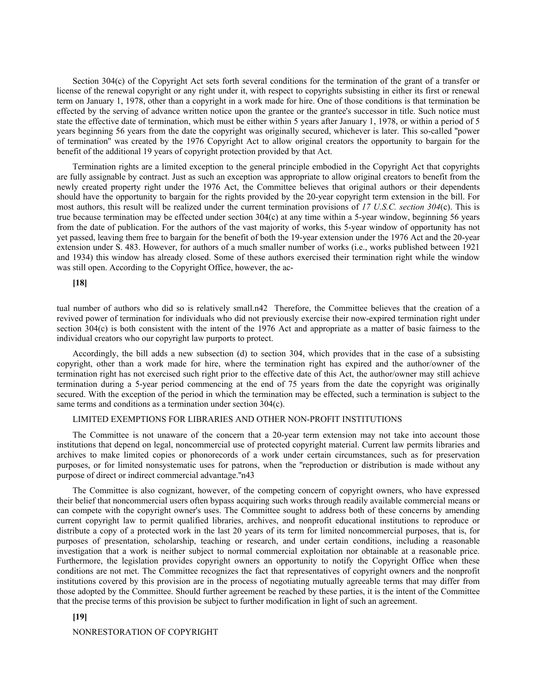Section 304(c) of the Copyright Act sets forth several conditions for the termination of the grant of a transfer or license of the renewal copyright or any right under it, with respect to copyrights subsisting in either its first or renewal term on January 1, 1978, other than a copyright in a work made for hire. One of those conditions is that termination be effected by the serving of advance written notice upon the grantee or the grantee's successor in title. Such notice must state the effective date of termination, which must be either within 5 years after January 1, 1978, or within a period of 5 years beginning 56 years from the date the copyright was originally secured, whichever is later. This so-called ''power of termination'' was created by the 1976 Copyright Act to allow original creators the opportunity to bargain for the benefit of the additional 19 years of copyright protection provided by that Act.

Termination rights are a limited exception to the general principle embodied in the Copyright Act that copyrights are fully assignable by contract. Just as such an exception was appropriate to allow original creators to benefit from the newly created property right under the 1976 Act, the Committee believes that original authors or their dependents should have the opportunity to bargain for the rights provided by the 20-year copyright term extension in the bill. For most authors, this result will be realized under the current termination provisions of *17 U.S.C. section 304*(c). This is true because termination may be effected under section 304(c) at any time within a 5-year window, beginning 56 years from the date of publication. For the authors of the vast majority of works, this 5-year window of opportunity has not yet passed, leaving them free to bargain for the benefit of both the 19-year extension under the 1976 Act and the 20-year extension under S. 483. However, for authors of a much smaller number of works (i.e., works published between 1921 and 1934) this window has already closed. Some of these authors exercised their termination right while the window was still open. According to the Copyright Office, however, the ac-

# **[18]**

tual number of authors who did so is relatively small.n42 Therefore, the Committee believes that the creation of a revived power of termination for individuals who did not previously exercise their now-expired termination right under section 304(c) is both consistent with the intent of the 1976 Act and appropriate as a matter of basic fairness to the individual creators who our copyright law purports to protect.

Accordingly, the bill adds a new subsection (d) to section 304, which provides that in the case of a subsisting copyright, other than a work made for hire, where the termination right has expired and the author/owner of the termination right has not exercised such right prior to the effective date of this Act, the author/owner may still achieve termination during a 5-year period commencing at the end of 75 years from the date the copyright was originally secured. With the exception of the period in which the termination may be effected, such a termination is subject to the same terms and conditions as a termination under section 304(c).

# LIMITED EXEMPTIONS FOR LIBRARIES AND OTHER NON-PROFIT INSTITUTIONS

The Committee is not unaware of the concern that a 20-year term extension may not take into account those institutions that depend on legal, noncommercial use of protected copyright material. Current law permits libraries and archives to make limited copies or phonorecords of a work under certain circumstances, such as for preservation purposes, or for limited nonsystematic uses for patrons, when the ''reproduction or distribution is made without any purpose of direct or indirect commercial advantage.''n43

The Committee is also cognizant, however, of the competing concern of copyright owners, who have expressed their belief that noncommercial users often bypass acquiring such works through readily available commercial means or can compete with the copyright owner's uses. The Committee sought to address both of these concerns by amending current copyright law to permit qualified libraries, archives, and nonprofit educational institutions to reproduce or distribute a copy of a protected work in the last 20 years of its term for limited noncommercial purposes, that is, for purposes of presentation, scholarship, teaching or research, and under certain conditions, including a reasonable investigation that a work is neither subject to normal commercial exploitation nor obtainable at a reasonable price. Furthermore, the legislation provides copyright owners an opportunity to notify the Copyright Office when these conditions are not met. The Committee recognizes the fact that representatives of copyright owners and the nonprofit institutions covered by this provision are in the process of negotiating mutually agreeable terms that may differ from those adopted by the Committee. Should further agreement be reached by these parties, it is the intent of the Committee that the precise terms of this provision be subject to further modification in light of such an agreement.

# **[19]**

NONRESTORATION OF COPYRIGHT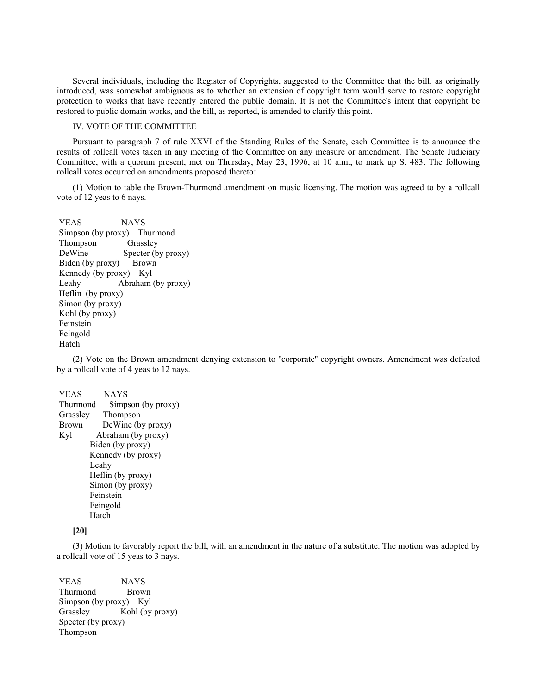Several individuals, including the Register of Copyrights, suggested to the Committee that the bill, as originally introduced, was somewhat ambiguous as to whether an extension of copyright term would serve to restore copyright protection to works that have recently entered the public domain. It is not the Committee's intent that copyright be restored to public domain works, and the bill, as reported, is amended to clarify this point.

# IV. VOTE OF THE COMMITTEE

Pursuant to paragraph 7 of rule XXVI of the Standing Rules of the Senate, each Committee is to announce the results of rollcall votes taken in any meeting of the Committee on any measure or amendment. The Senate Judiciary Committee, with a quorum present, met on Thursday, May 23, 1996, at 10 a.m., to mark up S. 483. The following rollcall votes occurred on amendments proposed thereto:

(1) Motion to table the Brown-Thurmond amendment on music licensing. The motion was agreed to by a rollcall vote of 12 yeas to 6 nays.

 YEAS NAYS Simpson (by proxy) Thurmond Thompson Grassley DeWine Specter (by proxy) Biden (by proxy) Brown Kennedy (by proxy) Kyl Leahy Abraham (by proxy) Heflin (by proxy) Simon (by proxy) Kohl (by proxy) Feinstein Feingold Hatch

(2) Vote on the Brown amendment denying extension to ''corporate'' copyright owners. Amendment was defeated by a rollcall vote of 4 yeas to 12 nays.

 YEAS NAYS Thurmond Simpson (by proxy) Grassley Thompson Brown DeWine (by proxy) Kyl Abraham (by proxy) Biden (by proxy) Kennedy (by proxy) Leahy Heflin (by proxy) Simon (by proxy) Feinstein Feingold Hatch

# **[20]**

(3) Motion to favorably report the bill, with an amendment in the nature of a substitute. The motion was adopted by a rollcall vote of 15 yeas to 3 nays.

 YEAS NAYS Thurmond Brown Simpson (by proxy) Kyl Grassley Kohl (by proxy) Specter (by proxy) Thompson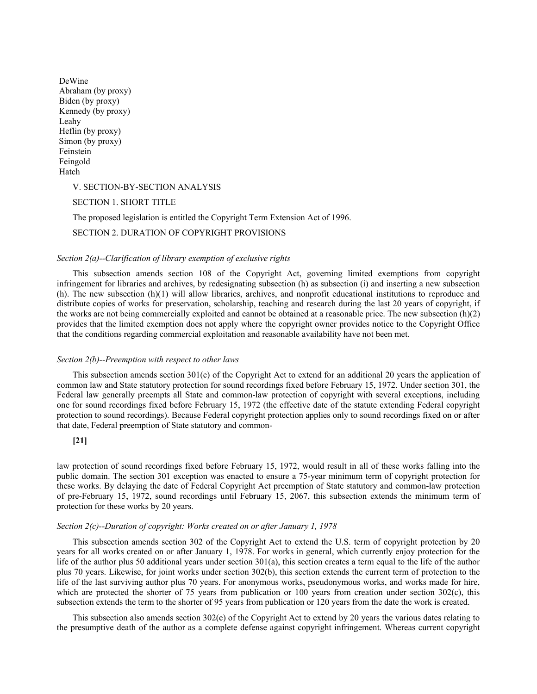| DeWine             |
|--------------------|
| Abraham (by proxy) |
| Biden (by proxy)   |
| Kennedy (by proxy) |
| Leahy              |
| Heflin (by proxy)  |
| Simon (by proxy)   |
| Feinstein          |
| Feingold           |
| Hatch              |

V. SECTION-BY-SECTION ANALYSIS

SECTION 1. SHORT TITLE

The proposed legislation is entitled the Copyright Term Extension Act of 1996.

SECTION 2. DURATION OF COPYRIGHT PROVISIONS

### *Section 2(a)--Clarification of library exemption of exclusive rights*

This subsection amends section 108 of the Copyright Act, governing limited exemptions from copyright infringement for libraries and archives, by redesignating subsection (h) as subsection (i) and inserting a new subsection (h). The new subsection (h)(1) will allow libraries, archives, and nonprofit educational institutions to reproduce and distribute copies of works for preservation, scholarship, teaching and research during the last 20 years of copyright, if the works are not being commercially exploited and cannot be obtained at a reasonable price. The new subsection  $(h)(2)$ provides that the limited exemption does not apply where the copyright owner provides notice to the Copyright Office that the conditions regarding commercial exploitation and reasonable availability have not been met.

### *Section 2(b)--Preemption with respect to other laws*

This subsection amends section 301(c) of the Copyright Act to extend for an additional 20 years the application of common law and State statutory protection for sound recordings fixed before February 15, 1972. Under section 301, the Federal law generally preempts all State and common-law protection of copyright with several exceptions, including one for sound recordings fixed before February 15, 1972 (the effective date of the statute extending Federal copyright protection to sound recordings). Because Federal copyright protection applies only to sound recordings fixed on or after that date, Federal preemption of State statutory and common-

# **[21]**

law protection of sound recordings fixed before February 15, 1972, would result in all of these works falling into the public domain. The section 301 exception was enacted to ensure a 75-year minimum term of copyright protection for these works. By delaying the date of Federal Copyright Act preemption of State statutory and common-law protection of pre-February 15, 1972, sound recordings until February 15, 2067, this subsection extends the minimum term of protection for these works by 20 years.

# *Section 2(c)--Duration of copyright: Works created on or after January 1, 1978*

This subsection amends section 302 of the Copyright Act to extend the U.S. term of copyright protection by 20 years for all works created on or after January 1, 1978. For works in general, which currently enjoy protection for the life of the author plus 50 additional years under section 301(a), this section creates a term equal to the life of the author plus 70 years. Likewise, for joint works under section 302(b), this section extends the current term of protection to the life of the last surviving author plus 70 years. For anonymous works, pseudonymous works, and works made for hire, which are protected the shorter of 75 years from publication or 100 years from creation under section 302(c), this subsection extends the term to the shorter of 95 years from publication or 120 years from the date the work is created.

This subsection also amends section 302(e) of the Copyright Act to extend by 20 years the various dates relating to the presumptive death of the author as a complete defense against copyright infringement. Whereas current copyright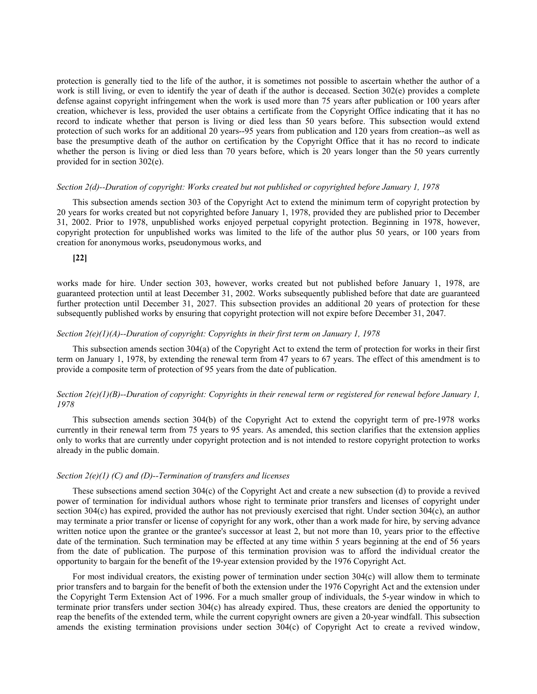protection is generally tied to the life of the author, it is sometimes not possible to ascertain whether the author of a work is still living, or even to identify the year of death if the author is deceased. Section 302(e) provides a complete defense against copyright infringement when the work is used more than 75 years after publication or 100 years after creation, whichever is less, provided the user obtains a certificate from the Copyright Office indicating that it has no record to indicate whether that person is living or died less than 50 years before. This subsection would extend protection of such works for an additional 20 years--95 years from publication and 120 years from creation--as well as base the presumptive death of the author on certification by the Copyright Office that it has no record to indicate whether the person is living or died less than 70 years before, which is 20 years longer than the 50 years currently provided for in section 302(e).

### *Section 2(d)--Duration of copyright: Works created but not published or copyrighted before January 1, 1978*

This subsection amends section 303 of the Copyright Act to extend the minimum term of copyright protection by 20 years for works created but not copyrighted before January 1, 1978, provided they are published prior to December 31, 2002. Prior to 1978, unpublished works enjoyed perpetual copyright protection. Beginning in 1978, however, copyright protection for unpublished works was limited to the life of the author plus 50 years, or 100 years from creation for anonymous works, pseudonymous works, and

### **[22]**

works made for hire. Under section 303, however, works created but not published before January 1, 1978, are guaranteed protection until at least December 31, 2002. Works subsequently published before that date are guaranteed further protection until December 31, 2027. This subsection provides an additional 20 years of protection for these subsequently published works by ensuring that copyright protection will not expire before December 31, 2047.

# *Section 2(e)(1)(A)--Duration of copyright: Copyrights in their first term on January 1, 1978*

This subsection amends section 304(a) of the Copyright Act to extend the term of protection for works in their first term on January 1, 1978, by extending the renewal term from 47 years to 67 years. The effect of this amendment is to provide a composite term of protection of 95 years from the date of publication.

# *Section 2(e)(1)(B)--Duration of copyright: Copyrights in their renewal term or registered for renewal before January 1, 1978*

This subsection amends section 304(b) of the Copyright Act to extend the copyright term of pre-1978 works currently in their renewal term from 75 years to 95 years. As amended, this section clarifies that the extension applies only to works that are currently under copyright protection and is not intended to restore copyright protection to works already in the public domain.

### *Section 2(e)(1) (C) and (D)--Termination of transfers and licenses*

These subsections amend section 304(c) of the Copyright Act and create a new subsection (d) to provide a revived power of termination for individual authors whose right to terminate prior transfers and licenses of copyright under section 304(c) has expired, provided the author has not previously exercised that right. Under section 304(c), an author may terminate a prior transfer or license of copyright for any work, other than a work made for hire, by serving advance written notice upon the grantee or the grantee's successor at least 2, but not more than 10, years prior to the effective date of the termination. Such termination may be effected at any time within 5 years beginning at the end of 56 years from the date of publication. The purpose of this termination provision was to afford the individual creator the opportunity to bargain for the benefit of the 19-year extension provided by the 1976 Copyright Act.

For most individual creators, the existing power of termination under section  $304(c)$  will allow them to terminate prior transfers and to bargain for the benefit of both the extension under the 1976 Copyright Act and the extension under the Copyright Term Extension Act of 1996. For a much smaller group of individuals, the 5-year window in which to terminate prior transfers under section 304(c) has already expired. Thus, these creators are denied the opportunity to reap the benefits of the extended term, while the current copyright owners are given a 20-year windfall. This subsection amends the existing termination provisions under section 304(c) of Copyright Act to create a revived window,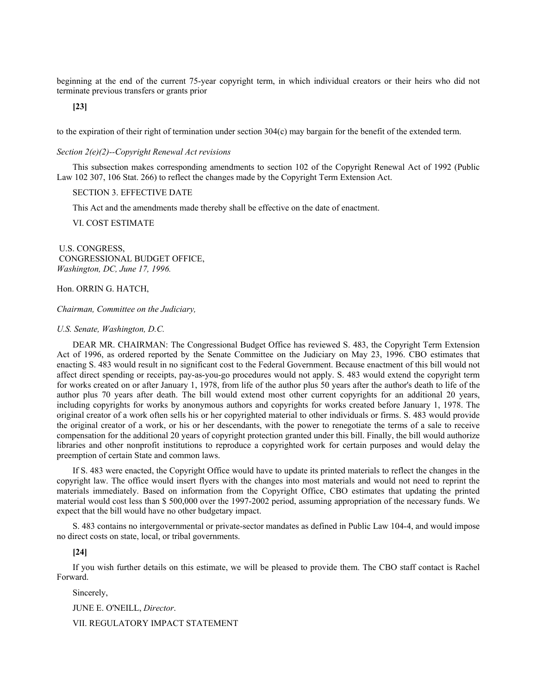beginning at the end of the current 75-year copyright term, in which individual creators or their heirs who did not terminate previous transfers or grants prior

**[23]**

to the expiration of their right of termination under section 304(c) may bargain for the benefit of the extended term.

### *Section 2(e)(2)--Copyright Renewal Act revisions*

This subsection makes corresponding amendments to section 102 of the Copyright Renewal Act of 1992 (Public Law 102 307, 106 Stat. 266) to reflect the changes made by the Copyright Term Extension Act.

# SECTION 3. EFFECTIVE DATE

This Act and the amendments made thereby shall be effective on the date of enactment.

VI. COST ESTIMATE

 U.S. CONGRESS, CONGRESSIONAL BUDGET OFFICE, *Washington, DC, June 17, 1996.*

Hon. ORRIN G. HATCH,

*Chairman, Committee on the Judiciary,*

## *U.S. Senate, Washington, D.C.*

DEAR MR. CHAIRMAN: The Congressional Budget Office has reviewed S. 483, the Copyright Term Extension Act of 1996, as ordered reported by the Senate Committee on the Judiciary on May 23, 1996. CBO estimates that enacting S. 483 would result in no significant cost to the Federal Government. Because enactment of this bill would not affect direct spending or receipts, pay-as-you-go procedures would not apply. S. 483 would extend the copyright term for works created on or after January 1, 1978, from life of the author plus 50 years after the author's death to life of the author plus 70 years after death. The bill would extend most other current copyrights for an additional 20 years, including copyrights for works by anonymous authors and copyrights for works created before January 1, 1978. The original creator of a work often sells his or her copyrighted material to other individuals or firms. S. 483 would provide the original creator of a work, or his or her descendants, with the power to renegotiate the terms of a sale to receive compensation for the additional 20 years of copyright protection granted under this bill. Finally, the bill would authorize libraries and other nonprofit institutions to reproduce a copyrighted work for certain purposes and would delay the preemption of certain State and common laws.

If S. 483 were enacted, the Copyright Office would have to update its printed materials to reflect the changes in the copyright law. The office would insert flyers with the changes into most materials and would not need to reprint the materials immediately. Based on information from the Copyright Office, CBO estimates that updating the printed material would cost less than \$ 500,000 over the 1997-2002 period, assuming appropriation of the necessary funds. We expect that the bill would have no other budgetary impact.

S. 483 contains no intergovernmental or private-sector mandates as defined in Public Law 104-4, and would impose no direct costs on state, local, or tribal governments.

### **[24]**

If you wish further details on this estimate, we will be pleased to provide them. The CBO staff contact is Rachel Forward.

Sincerely,

JUNE E. O'NEILL, *Director*.

VII. REGULATORY IMPACT STATEMENT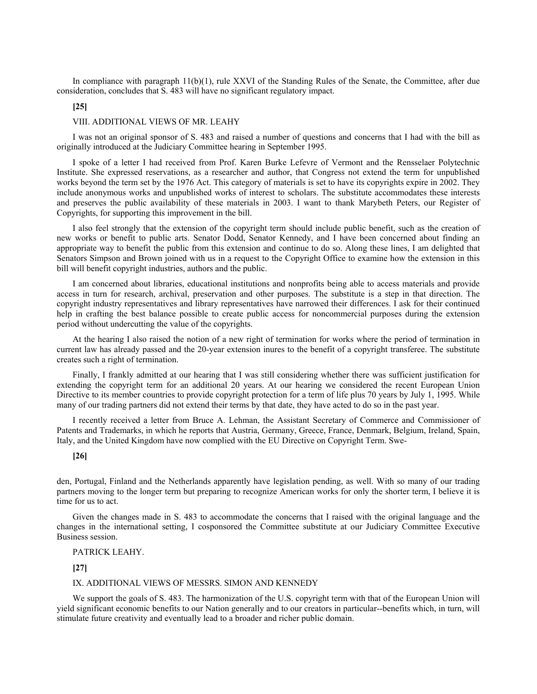In compliance with paragraph 11(b)(1), rule XXVI of the Standing Rules of the Senate, the Committee, after due consideration, concludes that S. 483 will have no significant regulatory impact.

# **[25]**

# VIII. ADDITIONAL VIEWS OF MR. LEAHY

I was not an original sponsor of S. 483 and raised a number of questions and concerns that I had with the bill as originally introduced at the Judiciary Committee hearing in September 1995.

I spoke of a letter I had received from Prof. Karen Burke Lefevre of Vermont and the Rensselaer Polytechnic Institute. She expressed reservations, as a researcher and author, that Congress not extend the term for unpublished works beyond the term set by the 1976 Act. This category of materials is set to have its copyrights expire in 2002. They include anonymous works and unpublished works of interest to scholars. The substitute accommodates these interests and preserves the public availability of these materials in 2003. I want to thank Marybeth Peters, our Register of Copyrights, for supporting this improvement in the bill.

I also feel strongly that the extension of the copyright term should include public benefit, such as the creation of new works or benefit to public arts. Senator Dodd, Senator Kennedy, and I have been concerned about finding an appropriate way to benefit the public from this extension and continue to do so. Along these lines, I am delighted that Senators Simpson and Brown joined with us in a request to the Copyright Office to examine how the extension in this bill will benefit copyright industries, authors and the public.

I am concerned about libraries, educational institutions and nonprofits being able to access materials and provide access in turn for research, archival, preservation and other purposes. The substitute is a step in that direction. The copyright industry representatives and library representatives have narrowed their differences. I ask for their continued help in crafting the best balance possible to create public access for noncommercial purposes during the extension period without undercutting the value of the copyrights.

At the hearing I also raised the notion of a new right of termination for works where the period of termination in current law has already passed and the 20-year extension inures to the benefit of a copyright transferee. The substitute creates such a right of termination.

Finally, I frankly admitted at our hearing that I was still considering whether there was sufficient justification for extending the copyright term for an additional 20 years. At our hearing we considered the recent European Union Directive to its member countries to provide copyright protection for a term of life plus 70 years by July 1, 1995. While many of our trading partners did not extend their terms by that date, they have acted to do so in the past year.

I recently received a letter from Bruce A. Lehman, the Assistant Secretary of Commerce and Commissioner of Patents and Trademarks, in which he reports that Austria, Germany, Greece, France, Denmark, Belgium, Ireland, Spain, Italy, and the United Kingdom have now complied with the EU Directive on Copyright Term. Swe-

#### **[26]**

den, Portugal, Finland and the Netherlands apparently have legislation pending, as well. With so many of our trading partners moving to the longer term but preparing to recognize American works for only the shorter term, I believe it is time for us to act.

Given the changes made in S. 483 to accommodate the concerns that I raised with the original language and the changes in the international setting, I cosponsored the Committee substitute at our Judiciary Committee Executive Business session.

### PATRICK LEAHY.

**[27]**

### IX. ADDITIONAL VIEWS OF MESSRS. SIMON AND KENNEDY

We support the goals of S. 483. The harmonization of the U.S. copyright term with that of the European Union will yield significant economic benefits to our Nation generally and to our creators in particular--benefits which, in turn, will stimulate future creativity and eventually lead to a broader and richer public domain.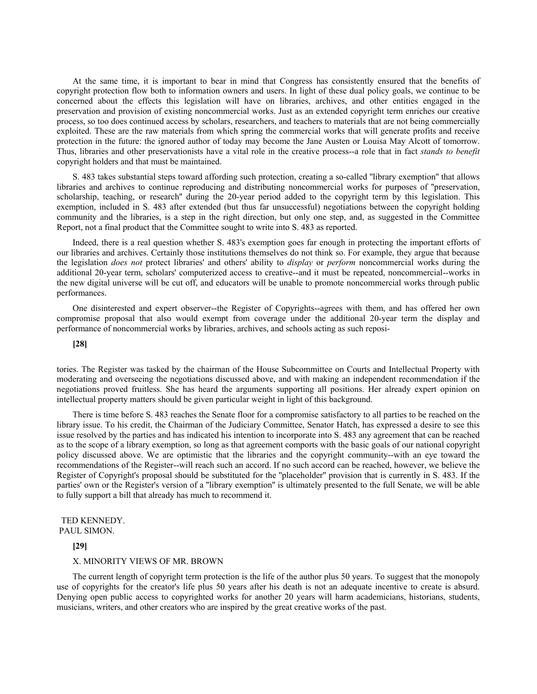At the same time, it is important to bear in mind that Congress has consistently ensured that the benefits of copyright protection flow both to information owners and users. In light of these dual policy goals, we continue to be concerned about the effects this legislation will have on libraries, archives, and other entities engaged in the preservation and provision of existing noncommercial works. Just as an extended copyright term enriches our creative process, so too does continued access by scholars, researchers, and teachers to materials that are not being commercially exploited. These are the raw materials from which spring the commercial works that will generate profits and receive protection in the future: the ignored author of today may become the Jane Austen or Louisa May Alcott of tomorrow. Thus, libraries and other preservationists have a vital role in the creative process--a role that in fact *stands to benefit* copyright holders and that must be maintained.

S. 483 takes substantial steps toward affording such protection, creating a so-called ''library exemption'' that allows libraries and archives to continue reproducing and distributing noncommercial works for purposes of ''preservation, scholarship, teaching, or research'' during the 20-year period added to the copyright term by this legislation. This exemption, included in S. 483 after extended (but thus far unsuccessful) negotiations between the copyright holding community and the libraries, is a step in the right direction, but only one step, and, as suggested in the Committee Report, not a final product that the Committee sought to write into S. 483 as reported.

Indeed, there is a real question whether S. 483's exemption goes far enough in protecting the important efforts of our libraries and archives. Certainly those institutions themselves do not think so. For example, they argue that because the legislation *does not* protect libraries' and others' ability to *display* or *perform* noncommercial works during the additional 20-year term, scholars' computerized access to creative--and it must be repeated, noncommercial--works in the new digital universe will be cut off, and educators will be unable to promote noncommercial works through public performances.

One disinterested and expert observer--the Register of Copyrights--agrees with them, and has offered her own compromise proposal that also would exempt from coverage under the additional 20-year term the display and performance of noncommercial works by libraries, archives, and schools acting as such reposi-

#### **[28]**

tories. The Register was tasked by the chairman of the House Subcommittee on Courts and Intellectual Property with moderating and overseeing the negotiations discussed above, and with making an independent recommendation if the negotiations proved fruitless. She has heard the arguments supporting all positions. Her already expert opinion on intellectual property matters should be given particular weight in light of this background.

There is time before S. 483 reaches the Senate floor for a compromise satisfactory to all parties to be reached on the library issue. To his credit, the Chairman of the Judiciary Committee, Senator Hatch, has expressed a desire to see this issue resolved by the parties and has indicated his intention to incorporate into S. 483 any agreement that can be reached as to the scope of a library exemption, so long as that agreement comports with the basic goals of our national copyright policy discussed above. We are optimistic that the libraries and the copyright community--with an eye toward the recommendations of the Register--will reach such an accord. If no such accord can be reached, however, we believe the Register of Copyright's proposal should be substituted for the ''placeholder'' provision that is currently in S. 483. If the parties' own or the Register's version of a ''library exemption'' is ultimately presented to the full Senate, we will be able to fully support a bill that already has much to recommend it.

### TED KENNEDY. PAUL SIMON.

### **[29]**

#### X. MINORITY VIEWS OF MR. BROWN

The current length of copyright term protection is the life of the author plus 50 years. To suggest that the monopoly use of copyrights for the creator's life plus 50 years after his death is not an adequate incentive to create is absurd. Denying open public access to copyrighted works for another 20 years will harm academicians, historians, students, musicians, writers, and other creators who are inspired by the great creative works of the past.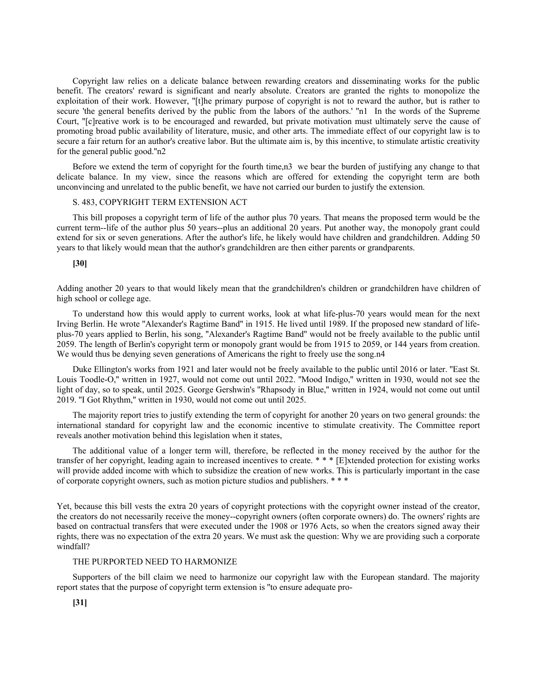Copyright law relies on a delicate balance between rewarding creators and disseminating works for the public benefit. The creators' reward is significant and nearly absolute. Creators are granted the rights to monopolize the exploitation of their work. However, "[t]he primary purpose of copyright is not to reward the author, but is rather to secure 'the general benefits derived by the public from the labors of the authors.' "n1 In the words of the Supreme Court, ''[c]reative work is to be encouraged and rewarded, but private motivation must ultimately serve the cause of promoting broad public availability of literature, music, and other arts. The immediate effect of our copyright law is to secure a fair return for an author's creative labor. But the ultimate aim is, by this incentive, to stimulate artistic creativity for the general public good.''n2

Before we extend the term of copyright for the fourth time,n3 we bear the burden of justifying any change to that delicate balance. In my view, since the reasons which are offered for extending the copyright term are both unconvincing and unrelated to the public benefit, we have not carried our burden to justify the extension.

# S. 483, COPYRIGHT TERM EXTENSION ACT

This bill proposes a copyright term of life of the author plus 70 years. That means the proposed term would be the current term--life of the author plus 50 years--plus an additional 20 years. Put another way, the monopoly grant could extend for six or seven generations. After the author's life, he likely would have children and grandchildren. Adding 50 years to that likely would mean that the author's grandchildren are then either parents or grandparents.

# **[30]**

Adding another 20 years to that would likely mean that the grandchildren's children or grandchildren have children of high school or college age.

To understand how this would apply to current works, look at what life-plus-70 years would mean for the next Irving Berlin. He wrote ''Alexander's Ragtime Band'' in 1915. He lived until 1989. If the proposed new standard of lifeplus-70 years applied to Berlin, his song, ''Alexander's Ragtime Band'' would not be freely available to the public until 2059. The length of Berlin's copyright term or monopoly grant would be from 1915 to 2059, or 144 years from creation. We would thus be denying seven generations of Americans the right to freely use the song.n4

Duke Ellington's works from 1921 and later would not be freely available to the public until 2016 or later. "East St. Louis Toodle-O,'' written in 1927, would not come out until 2022. ''Mood Indigo,'' written in 1930, would not see the light of day, so to speak, until 2025. George Gershwin's ''Rhapsody in Blue,'' written in 1924, would not come out until 2019. ''I Got Rhythm,'' written in 1930, would not come out until 2025.

The majority report tries to justify extending the term of copyright for another 20 years on two general grounds: the international standard for copyright law and the economic incentive to stimulate creativity. The Committee report reveals another motivation behind this legislation when it states,

The additional value of a longer term will, therefore, be reflected in the money received by the author for the transfer of her copyright, leading again to increased incentives to create. \* \* \* [E]xtended protection for existing works will provide added income with which to subsidize the creation of new works. This is particularly important in the case of corporate copyright owners, such as motion picture studios and publishers. \* \* \*

Yet, because this bill vests the extra 20 years of copyright protections with the copyright owner instead of the creator, the creators do not necessarily receive the money--copyright owners (often corporate owners) do. The owners' rights are based on contractual transfers that were executed under the 1908 or 1976 Acts, so when the creators signed away their rights, there was no expectation of the extra 20 years. We must ask the question: Why we are providing such a corporate windfall?

### THE PURPORTED NEED TO HARMONIZE

Supporters of the bill claim we need to harmonize our copyright law with the European standard. The majority report states that the purpose of copyright term extension is ''to ensure adequate pro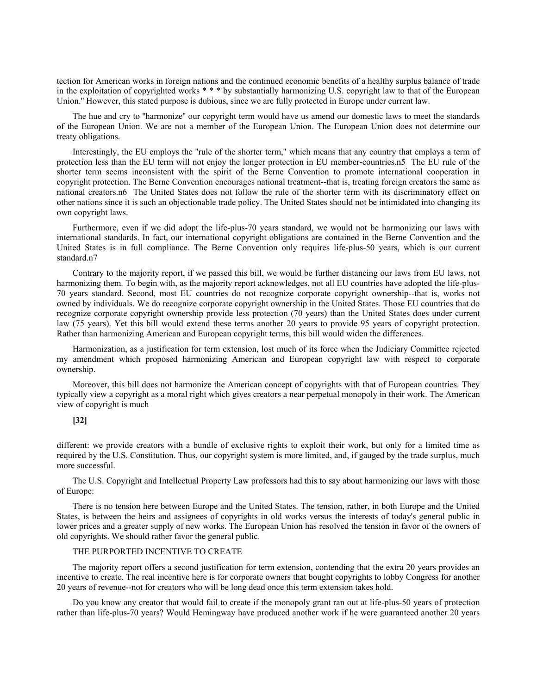tection for American works in foreign nations and the continued economic benefits of a healthy surplus balance of trade in the exploitation of copyrighted works  $* * *$  by substantially harmonizing U.S. copyright law to that of the European Union.'' However, this stated purpose is dubious, since we are fully protected in Europe under current law.

The hue and cry to ''harmonize'' our copyright term would have us amend our domestic laws to meet the standards of the European Union. We are not a member of the European Union. The European Union does not determine our treaty obligations.

Interestingly, the EU employs the ''rule of the shorter term,'' which means that any country that employs a term of protection less than the EU term will not enjoy the longer protection in EU member-countries.n5 The EU rule of the shorter term seems inconsistent with the spirit of the Berne Convention to promote international cooperation in copyright protection. The Berne Convention encourages national treatment--that is, treating foreign creators the same as national creators.n6 The United States does not follow the rule of the shorter term with its discriminatory effect on other nations since it is such an objectionable trade policy. The United States should not be intimidated into changing its own copyright laws.

Furthermore, even if we did adopt the life-plus-70 years standard, we would not be harmonizing our laws with international standards. In fact, our international copyright obligations are contained in the Berne Convention and the United States is in full compliance. The Berne Convention only requires life-plus-50 years, which is our current standard.n7

Contrary to the majority report, if we passed this bill, we would be further distancing our laws from EU laws, not harmonizing them. To begin with, as the majority report acknowledges, not all EU countries have adopted the life-plus-70 years standard. Second, most EU countries do not recognize corporate copyright ownership--that is, works not owned by individuals. We do recognize corporate copyright ownership in the United States. Those EU countries that do recognize corporate copyright ownership provide less protection (70 years) than the United States does under current law (75 years). Yet this bill would extend these terms another 20 years to provide 95 years of copyright protection. Rather than harmonizing American and European copyright terms, this bill would widen the differences.

Harmonization, as a justification for term extension, lost much of its force when the Judiciary Committee rejected my amendment which proposed harmonizing American and European copyright law with respect to corporate ownership.

Moreover, this bill does not harmonize the American concept of copyrights with that of European countries. They typically view a copyright as a moral right which gives creators a near perpetual monopoly in their work. The American view of copyright is much

# **[32]**

different: we provide creators with a bundle of exclusive rights to exploit their work, but only for a limited time as required by the U.S. Constitution. Thus, our copyright system is more limited, and, if gauged by the trade surplus, much more successful.

The U.S. Copyright and Intellectual Property Law professors had this to say about harmonizing our laws with those of Europe:

There is no tension here between Europe and the United States. The tension, rather, in both Europe and the United States, is between the heirs and assignees of copyrights in old works versus the interests of today's general public in lower prices and a greater supply of new works. The European Union has resolved the tension in favor of the owners of old copyrights. We should rather favor the general public.

# THE PURPORTED INCENTIVE TO CREATE

The majority report offers a second justification for term extension, contending that the extra 20 years provides an incentive to create. The real incentive here is for corporate owners that bought copyrights to lobby Congress for another 20 years of revenue--not for creators who will be long dead once this term extension takes hold.

Do you know any creator that would fail to create if the monopoly grant ran out at life-plus-50 years of protection rather than life-plus-70 years? Would Hemingway have produced another work if he were guaranteed another 20 years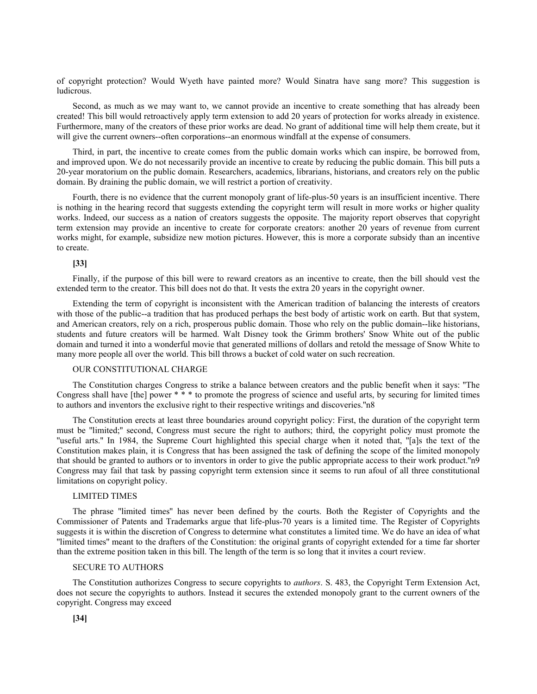of copyright protection? Would Wyeth have painted more? Would Sinatra have sang more? This suggestion is ludicrous.

Second, as much as we may want to, we cannot provide an incentive to create something that has already been created! This bill would retroactively apply term extension to add 20 years of protection for works already in existence. Furthermore, many of the creators of these prior works are dead. No grant of additional time will help them create, but it will give the current owners--often corporations--an enormous windfall at the expense of consumers.

Third, in part, the incentive to create comes from the public domain works which can inspire, be borrowed from, and improved upon. We do not necessarily provide an incentive to create by reducing the public domain. This bill puts a 20-year moratorium on the public domain. Researchers, academics, librarians, historians, and creators rely on the public domain. By draining the public domain, we will restrict a portion of creativity.

Fourth, there is no evidence that the current monopoly grant of life-plus-50 years is an insufficient incentive. There is nothing in the hearing record that suggests extending the copyright term will result in more works or higher quality works. Indeed, our success as a nation of creators suggests the opposite. The majority report observes that copyright term extension may provide an incentive to create for corporate creators: another 20 years of revenue from current works might, for example, subsidize new motion pictures. However, this is more a corporate subsidy than an incentive to create.

## **[33]**

Finally, if the purpose of this bill were to reward creators as an incentive to create, then the bill should vest the extended term to the creator. This bill does not do that. It vests the extra 20 years in the copyright owner.

Extending the term of copyright is inconsistent with the American tradition of balancing the interests of creators with those of the public--a tradition that has produced perhaps the best body of artistic work on earth. But that system, and American creators, rely on a rich, prosperous public domain. Those who rely on the public domain--like historians, students and future creators will be harmed. Walt Disney took the Grimm brothers' Snow White out of the public domain and turned it into a wonderful movie that generated millions of dollars and retold the message of Snow White to many more people all over the world. This bill throws a bucket of cold water on such recreation.

### OUR CONSTITUTIONAL CHARGE

The Constitution charges Congress to strike a balance between creators and the public benefit when it says: ''The Congress shall have [the] power \* \* \* to promote the progress of science and useful arts, by securing for limited times to authors and inventors the exclusive right to their respective writings and discoveries.''n8

The Constitution erects at least three boundaries around copyright policy: First, the duration of the copyright term must be ''limited;'' second, Congress must secure the right to authors; third, the copyright policy must promote the ''useful arts.'' In 1984, the Supreme Court highlighted this special charge when it noted that, ''[a]s the text of the Constitution makes plain, it is Congress that has been assigned the task of defining the scope of the limited monopoly that should be granted to authors or to inventors in order to give the public appropriate access to their work product.''n9 Congress may fail that task by passing copyright term extension since it seems to run afoul of all three constitutional limitations on copyright policy.

# LIMITED TIMES

The phrase ''limited times'' has never been defined by the courts. Both the Register of Copyrights and the Commissioner of Patents and Trademarks argue that life-plus-70 years is a limited time. The Register of Copyrights suggests it is within the discretion of Congress to determine what constitutes a limited time. We do have an idea of what ''limited times'' meant to the drafters of the Constitution: the original grants of copyright extended for a time far shorter than the extreme position taken in this bill. The length of the term is so long that it invites a court review.

### SECURE TO AUTHORS

The Constitution authorizes Congress to secure copyrights to *authors*. S. 483, the Copyright Term Extension Act, does not secure the copyrights to authors. Instead it secures the extended monopoly grant to the current owners of the copyright. Congress may exceed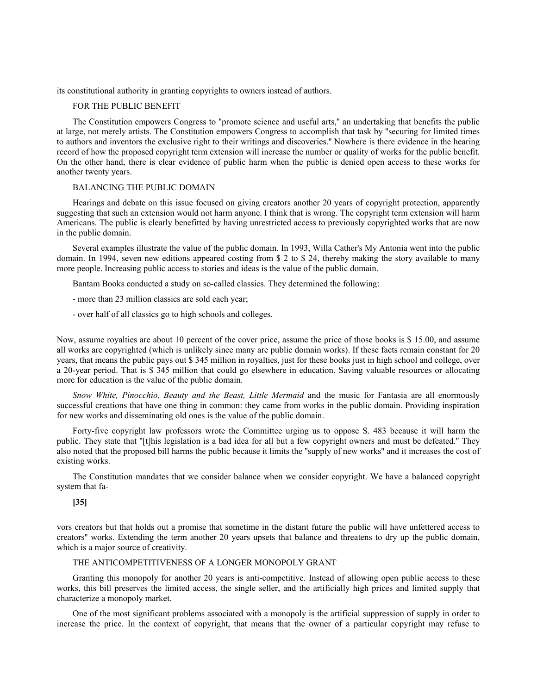its constitutional authority in granting copyrights to owners instead of authors.

# FOR THE PUBLIC BENEFIT

The Constitution empowers Congress to ''promote science and useful arts,'' an undertaking that benefits the public at large, not merely artists. The Constitution empowers Congress to accomplish that task by ''securing for limited times to authors and inventors the exclusive right to their writings and discoveries.'' Nowhere is there evidence in the hearing record of how the proposed copyright term extension will increase the number or quality of works for the public benefit. On the other hand, there is clear evidence of public harm when the public is denied open access to these works for another twenty years.

### BALANCING THE PUBLIC DOMAIN

Hearings and debate on this issue focused on giving creators another 20 years of copyright protection, apparently suggesting that such an extension would not harm anyone. I think that is wrong. The copyright term extension will harm Americans. The public is clearly benefitted by having unrestricted access to previously copyrighted works that are now in the public domain.

Several examples illustrate the value of the public domain. In 1993, Willa Cather's My Antonia went into the public domain. In 1994, seven new editions appeared costing from \$ 2 to \$ 24, thereby making the story available to many more people. Increasing public access to stories and ideas is the value of the public domain.

Bantam Books conducted a study on so-called classics. They determined the following:

- more than 23 million classics are sold each year;
- over half of all classics go to high schools and colleges.

Now, assume royalties are about 10 percent of the cover price, assume the price of those books is \$ 15.00, and assume all works are copyrighted (which is unlikely since many are public domain works). If these facts remain constant for 20 years, that means the public pays out \$ 345 million in royalties, just for these books just in high school and college, over a 20-year period. That is \$ 345 million that could go elsewhere in education. Saving valuable resources or allocating more for education is the value of the public domain.

*Snow White, Pinocchio, Beauty and the Beast, Little Mermaid* and the music for Fantasia are all enormously successful creations that have one thing in common: they came from works in the public domain. Providing inspiration for new works and disseminating old ones is the value of the public domain.

Forty-five copyright law professors wrote the Committee urging us to oppose S. 483 because it will harm the public. They state that ''[t]his legislation is a bad idea for all but a few copyright owners and must be defeated.'' They also noted that the proposed bill harms the public because it limits the ''supply of new works'' and it increases the cost of existing works.

The Constitution mandates that we consider balance when we consider copyright. We have a balanced copyright system that fa-

# **[35]**

vors creators but that holds out a promise that sometime in the distant future the public will have unfettered access to creators'' works. Extending the term another 20 years upsets that balance and threatens to dry up the public domain, which is a major source of creativity.

# THE ANTICOMPETITIVENESS OF A LONGER MONOPOLY GRANT

Granting this monopoly for another 20 years is anti-competitive. Instead of allowing open public access to these works, this bill preserves the limited access, the single seller, and the artificially high prices and limited supply that characterize a monopoly market.

One of the most significant problems associated with a monopoly is the artificial suppression of supply in order to increase the price. In the context of copyright, that means that the owner of a particular copyright may refuse to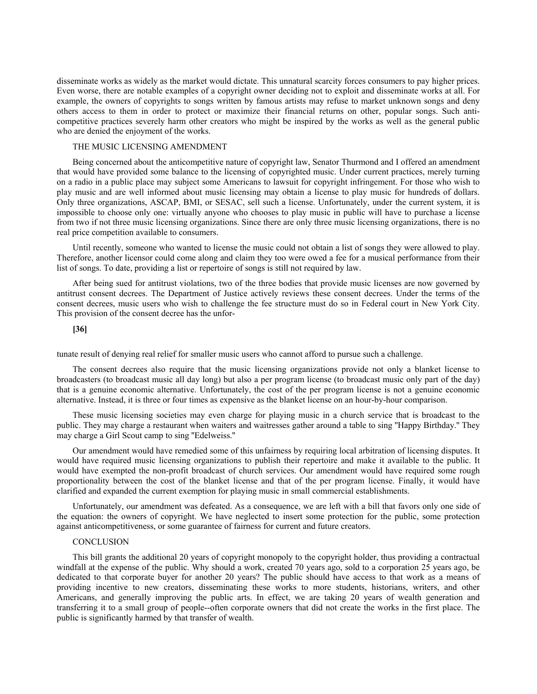disseminate works as widely as the market would dictate. This unnatural scarcity forces consumers to pay higher prices. Even worse, there are notable examples of a copyright owner deciding not to exploit and disseminate works at all. For example, the owners of copyrights to songs written by famous artists may refuse to market unknown songs and deny others access to them in order to protect or maximize their financial returns on other, popular songs. Such anticompetitive practices severely harm other creators who might be inspired by the works as well as the general public who are denied the enjoyment of the works.

# THE MUSIC LICENSING AMENDMENT

Being concerned about the anticompetitive nature of copyright law, Senator Thurmond and I offered an amendment that would have provided some balance to the licensing of copyrighted music. Under current practices, merely turning on a radio in a public place may subject some Americans to lawsuit for copyright infringement. For those who wish to play music and are well informed about music licensing may obtain a license to play music for hundreds of dollars. Only three organizations, ASCAP, BMI, or SESAC, sell such a license. Unfortunately, under the current system, it is impossible to choose only one: virtually anyone who chooses to play music in public will have to purchase a license from two if not three music licensing organizations. Since there are only three music licensing organizations, there is no real price competition available to consumers.

Until recently, someone who wanted to license the music could not obtain a list of songs they were allowed to play. Therefore, another licensor could come along and claim they too were owed a fee for a musical performance from their list of songs. To date, providing a list or repertoire of songs is still not required by law.

After being sued for antitrust violations, two of the three bodies that provide music licenses are now governed by antitrust consent decrees. The Department of Justice actively reviews these consent decrees. Under the terms of the consent decrees, music users who wish to challenge the fee structure must do so in Federal court in New York City. This provision of the consent decree has the unfor-

## **[36]**

tunate result of denying real relief for smaller music users who cannot afford to pursue such a challenge.

The consent decrees also require that the music licensing organizations provide not only a blanket license to broadcasters (to broadcast music all day long) but also a per program license (to broadcast music only part of the day) that is a genuine economic alternative. Unfortunately, the cost of the per program license is not a genuine economic alternative. Instead, it is three or four times as expensive as the blanket license on an hour-by-hour comparison.

These music licensing societies may even charge for playing music in a church service that is broadcast to the public. They may charge a restaurant when waiters and waitresses gather around a table to sing ''Happy Birthday.'' They may charge a Girl Scout camp to sing ''Edelweiss.''

Our amendment would have remedied some of this unfairness by requiring local arbitration of licensing disputes. It would have required music licensing organizations to publish their repertoire and make it available to the public. It would have exempted the non-profit broadcast of church services. Our amendment would have required some rough proportionality between the cost of the blanket license and that of the per program license. Finally, it would have clarified and expanded the current exemption for playing music in small commercial establishments.

Unfortunately, our amendment was defeated. As a consequence, we are left with a bill that favors only one side of the equation: the owners of copyright. We have neglected to insert some protection for the public, some protection against anticompetitiveness, or some guarantee of fairness for current and future creators.

# **CONCLUSION**

This bill grants the additional 20 years of copyright monopoly to the copyright holder, thus providing a contractual windfall at the expense of the public. Why should a work, created 70 years ago, sold to a corporation 25 years ago, be dedicated to that corporate buyer for another 20 years? The public should have access to that work as a means of providing incentive to new creators, disseminating these works to more students, historians, writers, and other Americans, and generally improving the public arts. In effect, we are taking 20 years of wealth generation and transferring it to a small group of people--often corporate owners that did not create the works in the first place. The public is significantly harmed by that transfer of wealth.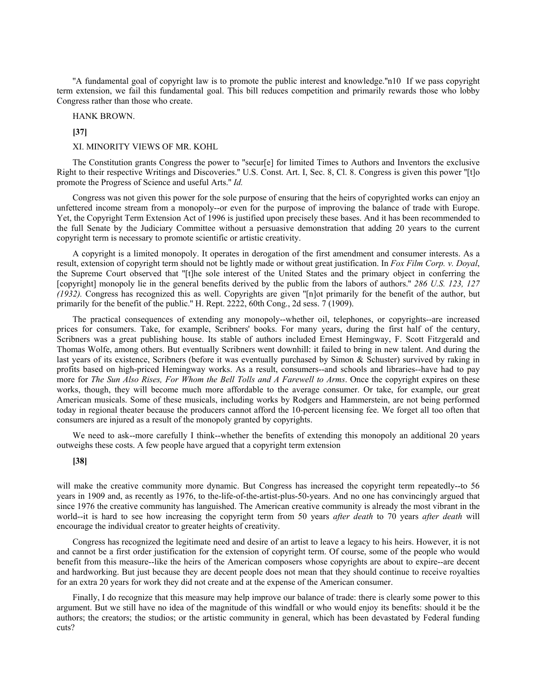''A fundamental goal of copyright law is to promote the public interest and knowledge.''n10 If we pass copyright term extension, we fail this fundamental goal. This bill reduces competition and primarily rewards those who lobby Congress rather than those who create.

HANK BROWN.

**[37]**

XI. MINORITY VIEWS OF MR. KOHL

The Constitution grants Congress the power to ''secur[e] for limited Times to Authors and Inventors the exclusive Right to their respective Writings and Discoveries.'' U.S. Const. Art. I, Sec. 8, Cl. 8. Congress is given this power ''[t]o promote the Progress of Science and useful Arts.'' *Id.*

Congress was not given this power for the sole purpose of ensuring that the heirs of copyrighted works can enjoy an unfettered income stream from a monopoly--or even for the purpose of improving the balance of trade with Europe. Yet, the Copyright Term Extension Act of 1996 is justified upon precisely these bases. And it has been recommended to the full Senate by the Judiciary Committee without a persuasive demonstration that adding 20 years to the current copyright term is necessary to promote scientific or artistic creativity.

A copyright is a limited monopoly. It operates in derogation of the first amendment and consumer interests. As a result, extension of copyright term should not be lightly made or without great justification. In *Fox Film Corp. v. Doyal*, the Supreme Court observed that ''[t]he sole interest of the United States and the primary object in conferring the [copyright] monopoly lie in the general benefits derived by the public from the labors of authors.'' *286 U.S. 123, 127 (1932).* Congress has recognized this as well. Copyrights are given ''[n]ot primarily for the benefit of the author, but primarily for the benefit of the public." H. Rept. 2222, 60th Cong., 2d sess. 7 (1909).

The practical consequences of extending any monopoly--whether oil, telephones, or copyrights--are increased prices for consumers. Take, for example, Scribners' books. For many years, during the first half of the century, Scribners was a great publishing house. Its stable of authors included Ernest Hemingway, F. Scott Fitzgerald and Thomas Wolfe, among others. But eventually Scribners went downhill: it failed to bring in new talent. And during the last years of its existence, Scribners (before it was eventually purchased by Simon & Schuster) survived by raking in profits based on high-priced Hemingway works. As a result, consumers--and schools and libraries--have had to pay more for *The Sun Also Rises, For Whom the Bell Tolls and A Farewell to Arms*. Once the copyright expires on these works, though, they will become much more affordable to the average consumer. Or take, for example, our great American musicals. Some of these musicals, including works by Rodgers and Hammerstein, are not being performed today in regional theater because the producers cannot afford the 10-percent licensing fee. We forget all too often that consumers are injured as a result of the monopoly granted by copyrights.

We need to ask--more carefully I think--whether the benefits of extending this monopoly an additional 20 years outweighs these costs. A few people have argued that a copyright term extension

# **[38]**

will make the creative community more dynamic. But Congress has increased the copyright term repeatedly--to 56 years in 1909 and, as recently as 1976, to the-life-of-the-artist-plus-50-years. And no one has convincingly argued that since 1976 the creative community has languished. The American creative community is already the most vibrant in the world--it is hard to see how increasing the copyright term from 50 years *after death* to 70 years *after death* will encourage the individual creator to greater heights of creativity.

Congress has recognized the legitimate need and desire of an artist to leave a legacy to his heirs. However, it is not and cannot be a first order justification for the extension of copyright term. Of course, some of the people who would benefit from this measure--like the heirs of the American composers whose copyrights are about to expire--are decent and hardworking. But just because they are decent people does not mean that they should continue to receive royalties for an extra 20 years for work they did not create and at the expense of the American consumer.

Finally, I do recognize that this measure may help improve our balance of trade: there is clearly some power to this argument. But we still have no idea of the magnitude of this windfall or who would enjoy its benefits: should it be the authors; the creators; the studios; or the artistic community in general, which has been devastated by Federal funding cuts?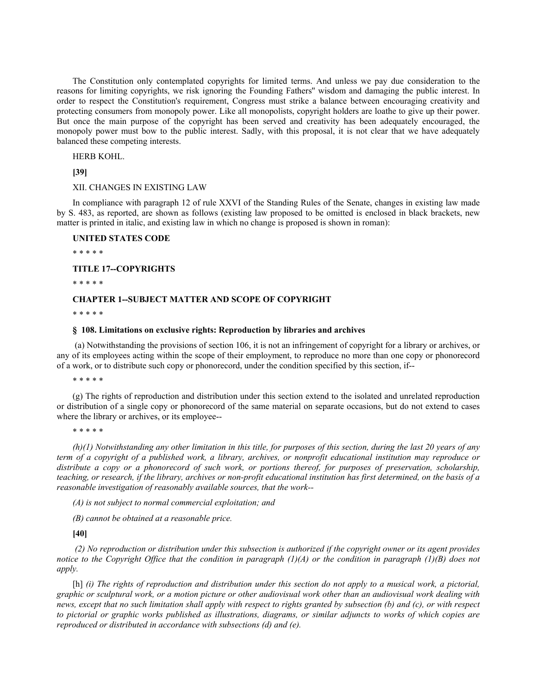The Constitution only contemplated copyrights for limited terms. And unless we pay due consideration to the reasons for limiting copyrights, we risk ignoring the Founding Fathers'' wisdom and damaging the public interest. In order to respect the Constitution's requirement, Congress must strike a balance between encouraging creativity and protecting consumers from monopoly power. Like all monopolists, copyright holders are loathe to give up their power. But once the main purpose of the copyright has been served and creativity has been adequately encouraged, the monopoly power must bow to the public interest. Sadly, with this proposal, it is not clear that we have adequately balanced these competing interests.

HERB KOHL.

**[39]**

XII. CHANGES IN EXISTING LAW

In compliance with paragraph 12 of rule XXVI of the Standing Rules of the Senate, changes in existing law made by S. 483, as reported, are shown as follows (existing law proposed to be omitted is enclosed in black brackets, new matter is printed in italic, and existing law in which no change is proposed is shown in roman):

### **UNITED STATES CODE**

\* \* \* \* \*

### **TITLE 17--COPYRIGHTS**

\* \* \* \* \*

# **CHAPTER 1--SUBJECT MATTER AND SCOPE OF COPYRIGHT**

\* \* \* \* \*

### **§ 108. Limitations on exclusive rights: Reproduction by libraries and archives**

 (a) Notwithstanding the provisions of section 106, it is not an infringement of copyright for a library or archives, or any of its employees acting within the scope of their employment, to reproduce no more than one copy or phonorecord of a work, or to distribute such copy or phonorecord, under the condition specified by this section, if--

\* \* \* \* \*

(g) The rights of reproduction and distribution under this section extend to the isolated and unrelated reproduction or distribution of a single copy or phonorecord of the same material on separate occasions, but do not extend to cases where the library or archives, or its employee--

\* \* \* \* \*

*(h)(1) Notwithstanding any other limitation in this title, for purposes of this section, during the last 20 years of any term of a copyright of a published work, a library, archives, or nonprofit educational institution may reproduce or distribute a copy or a phonorecord of such work, or portions thereof, for purposes of preservation, scholarship, teaching, or research, if the library, archives or non-profit educational institution has first determined, on the basis of a reasonable investigation of reasonably available sources, that the work--*

*(A) is not subject to normal commercial exploitation; and*

*(B) cannot be obtained at a reasonable price.*

**[40]**

*(2) No reproduction or distribution under this subsection is authorized if the copyright owner or its agent provides notice to the Copyright Office that the condition in paragraph (1)(A) or the condition in paragraph (1)(B) does not apply.*

[h] *(i) The rights of reproduction and distribution under this section do not apply to a musical work, a pictorial, graphic or sculptural work, or a motion picture or other audiovisual work other than an audiovisual work dealing with news, except that no such limitation shall apply with respect to rights granted by subsection (b) and (c), or with respect to pictorial or graphic works published as illustrations, diagrams, or similar adjuncts to works of which copies are reproduced or distributed in accordance with subsections (d) and (e).*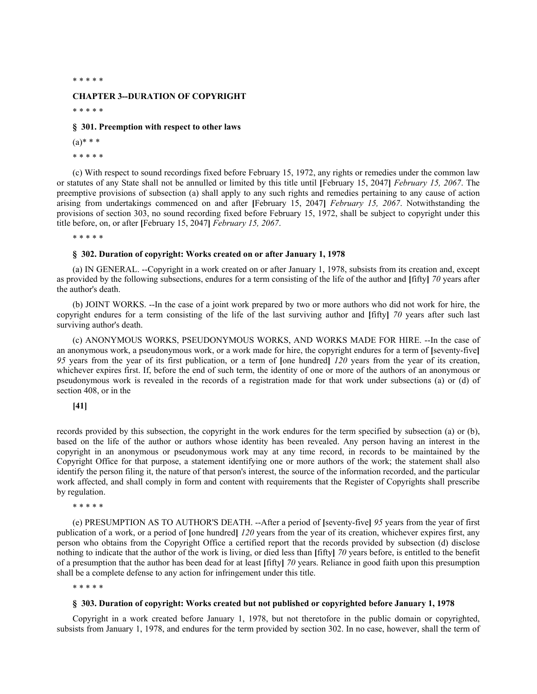\* \* \* \* \*

### **CHAPTER 3--DURATION OF COPYRIGHT**

\* \* \* \* \*

### **§ 301. Preemption with respect to other laws**

- $(a)$ \* \* \*
- \* \* \* \* \*

(c) With respect to sound recordings fixed before February 15, 1972, any rights or remedies under the common law or statutes of any State shall not be annulled or limited by this title until **[**February 15, 2047**]** *February 15, 2067*. The preemptive provisions of subsection (a) shall apply to any such rights and remedies pertaining to any cause of action arising from undertakings commenced on and after **[**February 15, 2047**]** *February 15, 2067*. Notwithstanding the provisions of section 303, no sound recording fixed before February 15, 1972, shall be subject to copyright under this title before, on, or after **[**February 15, 2047**]** *February 15, 2067*.

\* \* \* \* \*

#### **§ 302. Duration of copyright: Works created on or after January 1, 1978**

(a) IN GENERAL. --Copyright in a work created on or after January 1, 1978, subsists from its creation and, except as provided by the following subsections, endures for a term consisting of the life of the author and **[**fifty**]** *70* years after the author's death.

(b) JOINT WORKS. --In the case of a joint work prepared by two or more authors who did not work for hire, the copyright endures for a term consisting of the life of the last surviving author and **[**fifty**]** *70* years after such last surviving author's death.

(c) ANONYMOUS WORKS, PSEUDONYMOUS WORKS, AND WORKS MADE FOR HIRE. --In the case of an anonymous work, a pseudonymous work, or a work made for hire, the copyright endures for a term of **[**seventy-five**]** *95* years from the year of its first publication, or a term of **[**one hundred**]** *120* years from the year of its creation, whichever expires first. If, before the end of such term, the identity of one or more of the authors of an anonymous or pseudonymous work is revealed in the records of a registration made for that work under subsections (a) or (d) of section 408, or in the

# **[41]**

records provided by this subsection, the copyright in the work endures for the term specified by subsection (a) or (b), based on the life of the author or authors whose identity has been revealed. Any person having an interest in the copyright in an anonymous or pseudonymous work may at any time record, in records to be maintained by the Copyright Office for that purpose, a statement identifying one or more authors of the work; the statement shall also identify the person filing it, the nature of that person's interest, the source of the information recorded, and the particular work affected, and shall comply in form and content with requirements that the Register of Copyrights shall prescribe by regulation.

\* \* \* \* \*

(e) PRESUMPTION AS TO AUTHOR'S DEATH. --After a period of **[**seventy-five**]** *95* years from the year of first publication of a work, or a period of **[**one hundred**]** *120* years from the year of its creation, whichever expires first, any person who obtains from the Copyright Office a certified report that the records provided by subsection (d) disclose nothing to indicate that the author of the work is living, or died less than **[**fifty**]** *70* years before, is entitled to the benefit of a presumption that the author has been dead for at least **[**fifty**]** *70* years. Reliance in good faith upon this presumption shall be a complete defense to any action for infringement under this title.

\* \* \* \* \*

### **§ 303. Duration of copyright: Works created but not published or copyrighted before January 1, 1978**

Copyright in a work created before January 1, 1978, but not theretofore in the public domain or copyrighted, subsists from January 1, 1978, and endures for the term provided by section 302. In no case, however, shall the term of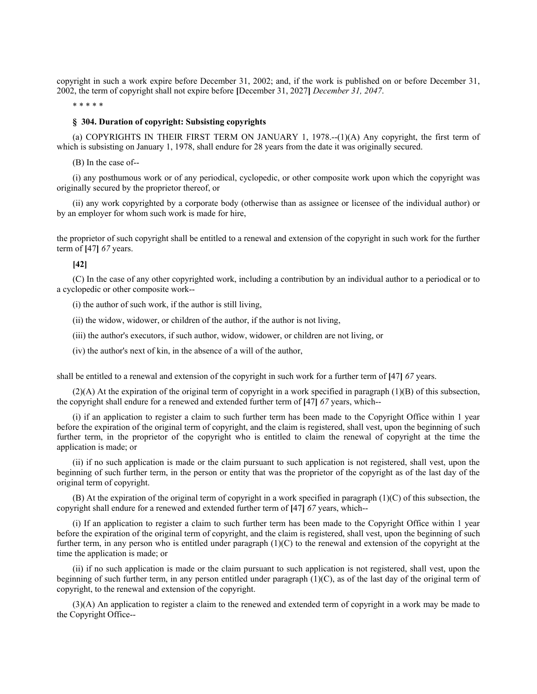copyright in such a work expire before December 31, 2002; and, if the work is published on or before December 31, 2002, the term of copyright shall not expire before **[**December 31, 2027**]** *December 31, 2047*.

\* \* \* \* \*

### **§ 304. Duration of copyright: Subsisting copyrights**

(a) COPYRIGHTS IN THEIR FIRST TERM ON JANUARY 1, 1978.--(1)(A) Any copyright, the first term of which is subsisting on January 1, 1978, shall endure for 28 years from the date it was originally secured.

(B) In the case of--

(i) any posthumous work or of any periodical, cyclopedic, or other composite work upon which the copyright was originally secured by the proprietor thereof, or

(ii) any work copyrighted by a corporate body (otherwise than as assignee or licensee of the individual author) or by an employer for whom such work is made for hire,

the proprietor of such copyright shall be entitled to a renewal and extension of the copyright in such work for the further term of **[**47**]** *67* years.

# **[42]**

(C) In the case of any other copyrighted work, including a contribution by an individual author to a periodical or to a cyclopedic or other composite work--

(i) the author of such work, if the author is still living,

(ii) the widow, widower, or children of the author, if the author is not living,

(iii) the author's executors, if such author, widow, widower, or children are not living, or

(iv) the author's next of kin, in the absence of a will of the author,

shall be entitled to a renewal and extension of the copyright in such work for a further term of **[**47**]** *67* years.

(2)(A) At the expiration of the original term of copyright in a work specified in paragraph (1)(B) of this subsection, the copyright shall endure for a renewed and extended further term of **[**47**]** *67* years, which--

(i) if an application to register a claim to such further term has been made to the Copyright Office within 1 year before the expiration of the original term of copyright, and the claim is registered, shall vest, upon the beginning of such further term, in the proprietor of the copyright who is entitled to claim the renewal of copyright at the time the application is made; or

(ii) if no such application is made or the claim pursuant to such application is not registered, shall vest, upon the beginning of such further term, in the person or entity that was the proprietor of the copyright as of the last day of the original term of copyright.

(B) At the expiration of the original term of copyright in a work specified in paragraph  $(1)(C)$  of this subsection, the copyright shall endure for a renewed and extended further term of **[**47**]** *67* years, which--

(i) If an application to register a claim to such further term has been made to the Copyright Office within 1 year before the expiration of the original term of copyright, and the claim is registered, shall vest, upon the beginning of such further term, in any person who is entitled under paragraph  $(1)(C)$  to the renewal and extension of the copyright at the time the application is made; or

(ii) if no such application is made or the claim pursuant to such application is not registered, shall vest, upon the beginning of such further term, in any person entitled under paragraph  $(1)(C)$ , as of the last day of the original term of copyright, to the renewal and extension of the copyright.

(3)(A) An application to register a claim to the renewed and extended term of copyright in a work may be made to the Copyright Office--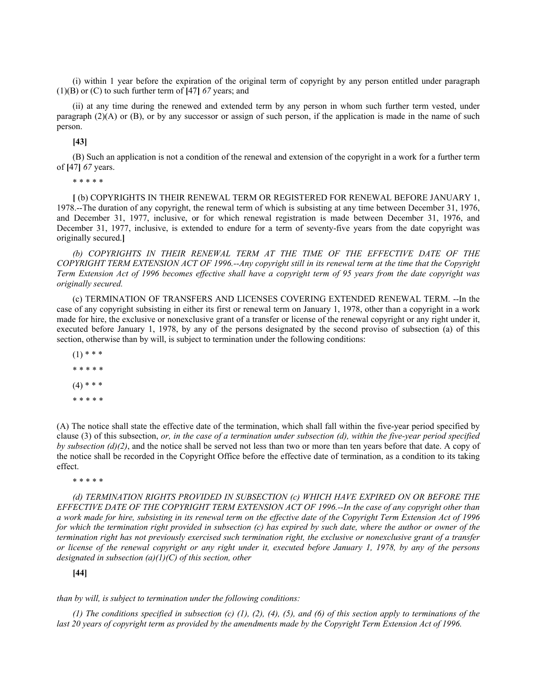(i) within 1 year before the expiration of the original term of copyright by any person entitled under paragraph (1)(B) or (C) to such further term of **[**47**]** *67* years; and

(ii) at any time during the renewed and extended term by any person in whom such further term vested, under paragraph  $(2)(A)$  or  $(B)$ , or by any successor or assign of such person, if the application is made in the name of such person.

### **[43]**

(B) Such an application is not a condition of the renewal and extension of the copyright in a work for a further term of **[**47**]** *67* years.

\* \* \* \* \*

**[** (b) COPYRIGHTS IN THEIR RENEWAL TERM OR REGISTERED FOR RENEWAL BEFORE JANUARY 1, 1978.--The duration of any copyright, the renewal term of which is subsisting at any time between December 31, 1976, and December 31, 1977, inclusive, or for which renewal registration is made between December 31, 1976, and December 31, 1977, inclusive, is extended to endure for a term of seventy-five years from the date copyright was originally secured.**]**

*(b) COPYRIGHTS IN THEIR RENEWAL TERM AT THE TIME OF THE EFFECTIVE DATE OF THE COPYRIGHT TERM EXTENSION ACT OF 1996.--Any copyright still in its renewal term at the time that the Copyright Term Extension Act of 1996 becomes effective shall have a copyright term of 95 years from the date copyright was originally secured.*

(c) TERMINATION OF TRANSFERS AND LICENSES COVERING EXTENDED RENEWAL TERM. --In the case of any copyright subsisting in either its first or renewal term on January 1, 1978, other than a copyright in a work made for hire, the exclusive or nonexclusive grant of a transfer or license of the renewal copyright or any right under it, executed before January 1, 1978, by any of the persons designated by the second proviso of subsection (a) of this section, otherwise than by will, is subject to termination under the following conditions:

 $(1)$  \* \* \* \* \* \* \* \*  $(4)$  \* \* \* \* \* \* \* \*

(A) The notice shall state the effective date of the termination, which shall fall within the five-year period specified by clause (3) of this subsection, *or, in the case of a termination under subsection (d), within the five-year period specified by subsection (d)(2)*, and the notice shall be served not less than two or more than ten years before that date. A copy of the notice shall be recorded in the Copyright Office before the effective date of termination, as a condition to its taking effect.

\* \* \* \* \*

*(d) TERMINATION RIGHTS PROVIDED IN SUBSECTION (c) WHICH HAVE EXPIRED ON OR BEFORE THE EFFECTIVE DATE OF THE COPYRIGHT TERM EXTENSION ACT OF 1996.--In the case of any copyright other than a work made for hire, subsisting in its renewal term on the effective date of the Copyright Term Extension Act of 1996 for which the termination right provided in subsection (c) has expired by such date, where the author or owner of the termination right has not previously exercised such termination right, the exclusive or nonexclusive grant of a transfer or license of the renewal copyright or any right under it, executed before January 1, 1978, by any of the persons designated in subsection (a)(1)(C) of this section, other*

# **[44]**

*than by will, is subject to termination under the following conditions:*

*(1) The conditions specified in subsection (c) (1), (2), (4), (5), and (6) of this section apply to terminations of the last 20 years of copyright term as provided by the amendments made by the Copyright Term Extension Act of 1996.*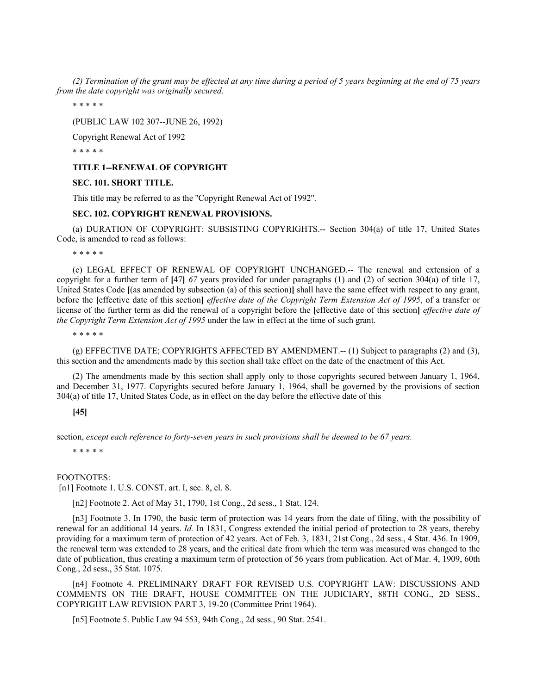*(2) Termination of the grant may be effected at any time during a period of 5 years beginning at the end of 75 years from the date copyright was originally secured.*

\* \* \* \* \*

(PUBLIC LAW 102 307--JUNE 26, 1992)

Copyright Renewal Act of 1992

\* \* \* \* \*

### **TITLE 1--RENEWAL OF COPYRIGHT**

## **SEC. 101. SHORT TITLE.**

This title may be referred to as the ''Copyright Renewal Act of 1992''.

# **SEC. 102. COPYRIGHT RENEWAL PROVISIONS.**

(a) DURATION OF COPYRIGHT: SUBSISTING COPYRIGHTS.-- Section 304(a) of title 17, United States Code, is amended to read as follows:

\* \* \* \* \*

(c) LEGAL EFFECT OF RENEWAL OF COPYRIGHT UNCHANGED.-- The renewal and extension of a copyright for a further term of **[**47**]** *67* years provided for under paragraphs (1) and (2) of section 304(a) of title 17, United States Code **[**(as amended by subsection (a) of this section)**]** shall have the same effect with respect to any grant, before the **[**effective date of this section**]** *effective date of the Copyright Term Extension Act of 1995*, of a transfer or license of the further term as did the renewal of a copyright before the **[**effective date of this section**]** *effective date of the Copyright Term Extension Act of 1995* under the law in effect at the time of such grant.

\* \* \* \* \*

(g) EFFECTIVE DATE; COPYRIGHTS AFFECTED BY AMENDMENT.-- (1) Subject to paragraphs (2) and (3), this section and the amendments made by this section shall take effect on the date of the enactment of this Act.

(2) The amendments made by this section shall apply only to those copyrights secured between January 1, 1964, and December 31, 1977. Copyrights secured before January 1, 1964, shall be governed by the provisions of section 304(a) of title 17, United States Code, as in effect on the day before the effective date of this

# **[45]**

section, *except each reference to forty-seven years in such provisions shall be deemed to be 67 years.*

\* \* \* \* \*

FOOTNOTES:

[n1] Footnote 1. U.S. CONST. art. I, sec. 8, cl. 8.

[n2] Footnote 2. Act of May 31, 1790, 1st Cong., 2d sess., 1 Stat. 124.

[n3] Footnote 3. In 1790, the basic term of protection was 14 years from the date of filing, with the possibility of renewal for an additional 14 years. *Id.* In 1831, Congress extended the initial period of protection to 28 years, thereby providing for a maximum term of protection of 42 years. Act of Feb. 3, 1831, 21st Cong., 2d sess., 4 Stat. 436. In 1909, the renewal term was extended to 28 years, and the critical date from which the term was measured was changed to the date of publication, thus creating a maximum term of protection of 56 years from publication. Act of Mar. 4, 1909, 60th Cong., 2d sess., 35 Stat. 1075.

[n4] Footnote 4. PRELIMINARY DRAFT FOR REVISED U.S. COPYRIGHT LAW: DISCUSSIONS AND COMMENTS ON THE DRAFT, HOUSE COMMITTEE ON THE JUDICIARY, 88TH CONG., 2D SESS., COPYRIGHT LAW REVISION PART 3, 19-20 (Committee Print 1964).

[n5] Footnote 5. Public Law 94 553, 94th Cong., 2d sess., 90 Stat. 2541.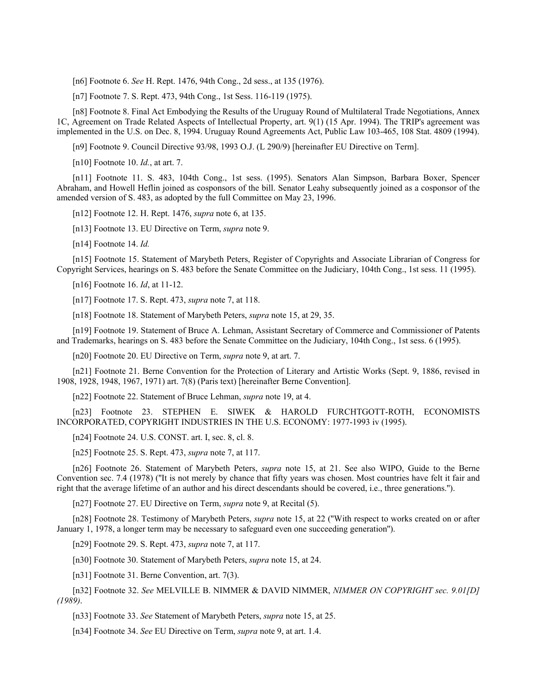[n6] Footnote 6. *See* H. Rept. 1476, 94th Cong., 2d sess., at 135 (1976).

[n7] Footnote 7. S. Rept. 473, 94th Cong., 1st Sess. 116-119 (1975).

[n8] Footnote 8. Final Act Embodying the Results of the Uruguay Round of Multilateral Trade Negotiations, Annex 1C, Agreement on Trade Related Aspects of Intellectual Property, art. 9(1) (15 Apr. 1994). The TRIP's agreement was implemented in the U.S. on Dec. 8, 1994. Uruguay Round Agreements Act, Public Law 103-465, 108 Stat. 4809 (1994).

[n9] Footnote 9. Council Directive 93/98, 1993 O.J. (L 290/9) [hereinafter EU Directive on Term].

[n10] Footnote 10. *Id.*, at art. 7.

[n11] Footnote 11. S. 483, 104th Cong., 1st sess. (1995). Senators Alan Simpson, Barbara Boxer, Spencer Abraham, and Howell Heflin joined as cosponsors of the bill. Senator Leahy subsequently joined as a cosponsor of the amended version of S. 483, as adopted by the full Committee on May 23, 1996.

[n12] Footnote 12. H. Rept. 1476, *supra* note 6, at 135.

[n13] Footnote 13. EU Directive on Term, *supra* note 9.

[n14] Footnote 14. *Id.*

[n15] Footnote 15. Statement of Marybeth Peters, Register of Copyrights and Associate Librarian of Congress for Copyright Services, hearings on S. 483 before the Senate Committee on the Judiciary, 104th Cong., 1st sess. 11 (1995).

[n16] Footnote 16. *Id*, at 11-12.

[n17] Footnote 17. S. Rept. 473, *supra* note 7, at 118.

[n18] Footnote 18. Statement of Marybeth Peters, *supra* note 15, at 29, 35.

[n19] Footnote 19. Statement of Bruce A. Lehman, Assistant Secretary of Commerce and Commissioner of Patents and Trademarks, hearings on S. 483 before the Senate Committee on the Judiciary, 104th Cong., 1st sess. 6 (1995).

[n20] Footnote 20. EU Directive on Term, *supra* note 9, at art. 7.

[n21] Footnote 21. Berne Convention for the Protection of Literary and Artistic Works (Sept. 9, 1886, revised in 1908, 1928, 1948, 1967, 1971) art. 7(8) (Paris text) [hereinafter Berne Convention].

[n22] Footnote 22. Statement of Bruce Lehman, *supra* note 19, at 4.

[n23] Footnote 23. STEPHEN E. SIWEK & HAROLD FURCHTGOTT-ROTH, ECONOMISTS INCORPORATED, COPYRIGHT INDUSTRIES IN THE U.S. ECONOMY: 1977-1993 iv (1995).

[n24] Footnote 24. U.S. CONST. art. I, sec. 8, cl. 8.

[n25] Footnote 25. S. Rept. 473, *supra* note 7, at 117.

[n26] Footnote 26. Statement of Marybeth Peters, *supra* note 15, at 21. See also WIPO, Guide to the Berne Convention sec. 7.4 (1978) (''It is not merely by chance that fifty years was chosen. Most countries have felt it fair and right that the average lifetime of an author and his direct descendants should be covered, i.e., three generations.'').

[n27] Footnote 27. EU Directive on Term, *supra* note 9, at Recital (5).

[n28] Footnote 28. Testimony of Marybeth Peters, *supra* note 15, at 22 (''With respect to works created on or after January 1, 1978, a longer term may be necessary to safeguard even one succeeding generation'').

[n29] Footnote 29. S. Rept. 473, *supra* note 7, at 117.

[n30] Footnote 30. Statement of Marybeth Peters, *supra* note 15, at 24.

[n31] Footnote 31. Berne Convention, art. 7(3).

[n32] Footnote 32. *See* MELVILLE B. NIMMER & DAVID NIMMER, *NIMMER ON COPYRIGHT sec. 9.01[D] (1989)*.

[n33] Footnote 33. *See* Statement of Marybeth Peters, *supra* note 15, at 25.

[n34] Footnote 34. *See* EU Directive on Term, *supra* note 9, at art. 1.4.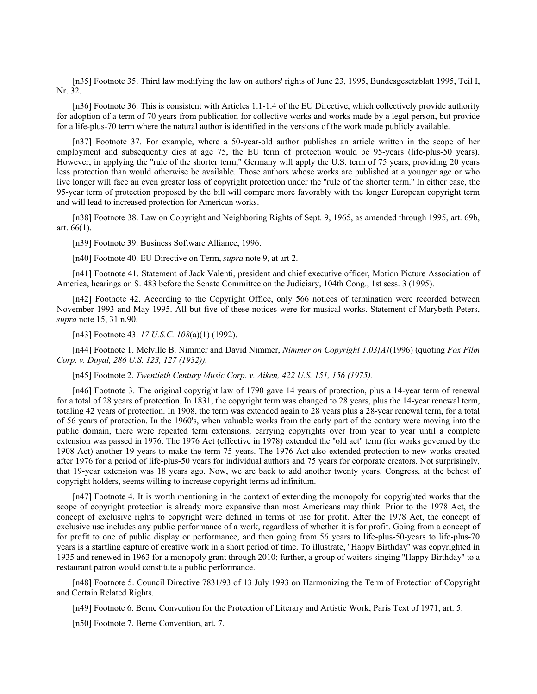[n35] Footnote 35. Third law modifying the law on authors' rights of June 23, 1995, Bundesgesetzblatt 1995, Teil I, Nr. 32.

[n36] Footnote 36. This is consistent with Articles 1.1-1.4 of the EU Directive, which collectively provide authority for adoption of a term of 70 years from publication for collective works and works made by a legal person, but provide for a life-plus-70 term where the natural author is identified in the versions of the work made publicly available.

[n37] Footnote 37. For example, where a 50-year-old author publishes an article written in the scope of her employment and subsequently dies at age 75, the EU term of protection would be 95-years (life-plus-50 years). However, in applying the "rule of the shorter term," Germany will apply the U.S. term of 75 years, providing 20 years less protection than would otherwise be available. Those authors whose works are published at a younger age or who live longer will face an even greater loss of copyright protection under the ''rule of the shorter term.'' In either case, the 95-year term of protection proposed by the bill will compare more favorably with the longer European copyright term and will lead to increased protection for American works.

[n38] Footnote 38. Law on Copyright and Neighboring Rights of Sept. 9, 1965, as amended through 1995, art. 69b, art. 66(1).

[n39] Footnote 39. Business Software Alliance, 1996.

[n40] Footnote 40. EU Directive on Term, *supra* note 9, at art 2.

[n41] Footnote 41. Statement of Jack Valenti, president and chief executive officer, Motion Picture Association of America, hearings on S. 483 before the Senate Committee on the Judiciary, 104th Cong., 1st sess. 3 (1995).

[n42] Footnote 42. According to the Copyright Office, only 566 notices of termination were recorded between November 1993 and May 1995. All but five of these notices were for musical works. Statement of Marybeth Peters, *supra* note 15, 31 n.90.

[n43] Footnote 43. *17 U.S.C. 108*(a)(1) (1992).

[n44] Footnote 1. Melville B. Nimmer and David Nimmer, *Nimmer on Copyright 1.03[A]*(1996) (quoting *Fox Film Corp. v. Doyal, 286 U.S. 123, 127 (1932)).*

[n45] Footnote 2. *Twentieth Century Music Corp. v. Aiken, 422 U.S. 151, 156 (1975).*

[n46] Footnote 3. The original copyright law of 1790 gave 14 years of protection, plus a 14-year term of renewal for a total of 28 years of protection. In 1831, the copyright term was changed to 28 years, plus the 14-year renewal term, totaling 42 years of protection. In 1908, the term was extended again to 28 years plus a 28-year renewal term, for a total of 56 years of protection. In the 1960's, when valuable works from the early part of the century were moving into the public domain, there were repeated term extensions, carrying copyrights over from year to year until a complete extension was passed in 1976. The 1976 Act (effective in 1978) extended the ''old act'' term (for works governed by the 1908 Act) another 19 years to make the term 75 years. The 1976 Act also extended protection to new works created after 1976 for a period of life-plus-50 years for individual authors and 75 years for corporate creators. Not surprisingly, that 19-year extension was 18 years ago. Now, we are back to add another twenty years. Congress, at the behest of copyright holders, seems willing to increase copyright terms ad infinitum.

[n47] Footnote 4. It is worth mentioning in the context of extending the monopoly for copyrighted works that the scope of copyright protection is already more expansive than most Americans may think. Prior to the 1978 Act, the concept of exclusive rights to copyright were defined in terms of use for profit. After the 1978 Act, the concept of exclusive use includes any public performance of a work, regardless of whether it is for profit. Going from a concept of for profit to one of public display or performance, and then going from 56 years to life-plus-50-years to life-plus-70 years is a startling capture of creative work in a short period of time. To illustrate, ''Happy Birthday'' was copyrighted in 1935 and renewed in 1963 for a monopoly grant through 2010; further, a group of waiters singing ''Happy Birthday'' to a restaurant patron would constitute a public performance.

[n48] Footnote 5. Council Directive 7831/93 of 13 July 1993 on Harmonizing the Term of Protection of Copyright and Certain Related Rights.

[n49] Footnote 6. Berne Convention for the Protection of Literary and Artistic Work, Paris Text of 1971, art. 5.

[n50] Footnote 7. Berne Convention, art. 7.